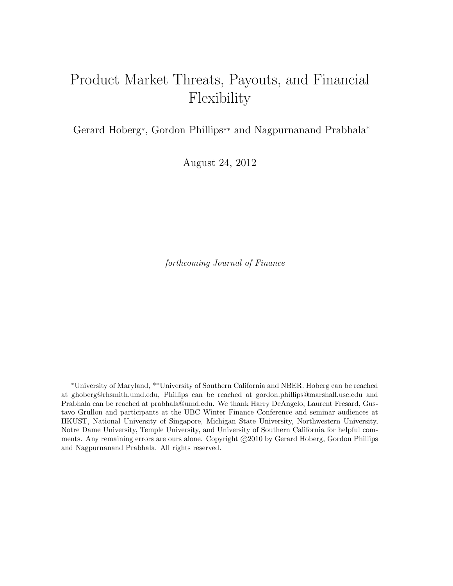### Product Market Threats, Payouts, and Financial Flexibility

Gerard Hoberg\*, Gordon Phillips\*\* and Nagpurnanand Prabhala<sup>∗</sup>

August 24, 2012

forthcoming Journal of Finance

<sup>∗</sup>University of Maryland, \*\*University of Southern California and NBER. Hoberg can be reached at ghoberg@rhsmith.umd.edu, Phillips can be reached at gordon.phillips@marshall.usc.edu and Prabhala can be reached at prabhala@umd.edu. We thank Harry DeAngelo, Laurent Fresard, Gustavo Grullon and participants at the UBC Winter Finance Conference and seminar audiences at HKUST, National University of Singapore, Michigan State University, Northwestern University, Notre Dame University, Temple University, and University of Southern California for helpful comments. Any remaining errors are ours alone. Copyright  $\odot$ 2010 by Gerard Hoberg, Gordon Phillips and Nagpurnanand Prabhala. All rights reserved.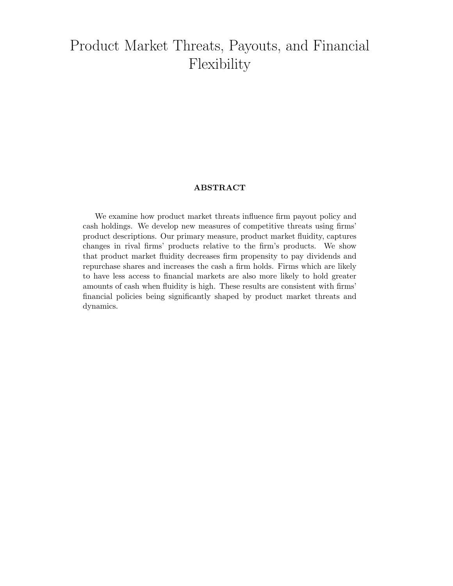### Product Market Threats, Payouts, and Financial Flexibility

### ABSTRACT

We examine how product market threats influence firm payout policy and cash holdings. We develop new measures of competitive threats using firms' product descriptions. Our primary measure, product market fluidity, captures changes in rival firms' products relative to the firm's products. We show that product market fluidity decreases firm propensity to pay dividends and repurchase shares and increases the cash a firm holds. Firms which are likely to have less access to financial markets are also more likely to hold greater amounts of cash when fluidity is high. These results are consistent with firms' financial policies being significantly shaped by product market threats and dynamics.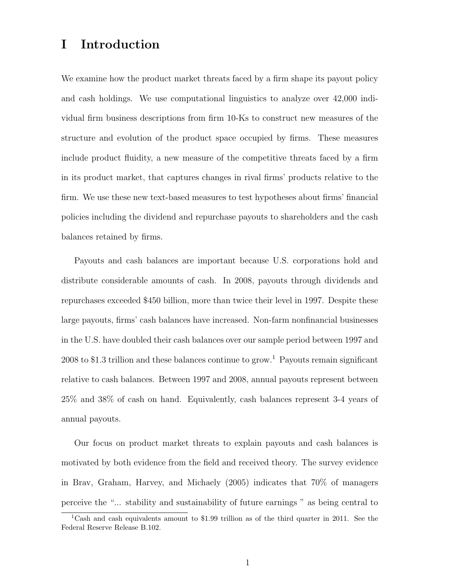### I Introduction

We examine how the product market threats faced by a firm shape its payout policy and cash holdings. We use computational linguistics to analyze over 42,000 individual firm business descriptions from firm 10-Ks to construct new measures of the structure and evolution of the product space occupied by firms. These measures include product fluidity, a new measure of the competitive threats faced by a firm in its product market, that captures changes in rival firms' products relative to the firm. We use these new text-based measures to test hypotheses about firms' financial policies including the dividend and repurchase payouts to shareholders and the cash balances retained by firms.

Payouts and cash balances are important because U.S. corporations hold and distribute considerable amounts of cash. In 2008, payouts through dividends and repurchases exceeded \$450 billion, more than twice their level in 1997. Despite these large payouts, firms' cash balances have increased. Non-farm nonfinancial businesses in the U.S. have doubled their cash balances over our sample period between 1997 and 2008 to \$1.3 trillion and these balances continue to grow.<sup>1</sup> Payouts remain significant relative to cash balances. Between 1997 and 2008, annual payouts represent between 25% and 38% of cash on hand. Equivalently, cash balances represent 3-4 years of annual payouts.

Our focus on product market threats to explain payouts and cash balances is motivated by both evidence from the field and received theory. The survey evidence in Brav, Graham, Harvey, and Michaely (2005) indicates that 70% of managers perceive the "... stability and sustainability of future earnings " as being central to

<sup>&</sup>lt;sup>1</sup>Cash and cash equivalents amount to \$1.99 trillion as of the third quarter in 2011. See the Federal Reserve Release B.102.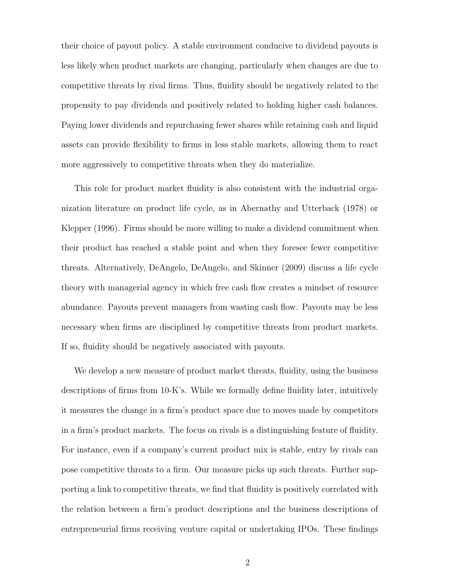their choice of payout policy. A stable environment conducive to dividend payouts is less likely when product markets are changing, particularly when changes are due to competitive threats by rival firms. Thus, fluidity should be negatively related to the propensity to pay dividends and positively related to holding higher cash balances. Paying lower dividends and repurchasing fewer shares while retaining cash and liquid assets can provide flexibility to firms in less stable markets, allowing them to react more aggressively to competitive threats when they do materialize.

This role for product market fluidity is also consistent with the industrial organization literature on product life cycle, as in Abernathy and Utterback (1978) or Klepper (1996). Firms should be more willing to make a dividend commitment when their product has reached a stable point and when they foresee fewer competitive threats. Alternatively, DeAngelo, DeAngelo, and Skinner (2009) discuss a life cycle theory with managerial agency in which free cash flow creates a mindset of resource abundance. Payouts prevent managers from wasting cash flow. Payouts may be less necessary when firms are disciplined by competitive threats from product markets. If so, fluidity should be negatively associated with payouts.

We develop a new measure of product market threats, fluidity, using the business descriptions of firms from 10-K's. While we formally define fluidity later, intuitively it measures the change in a firm's product space due to moves made by competitors in a firm's product markets. The focus on rivals is a distinguishing feature of fluidity. For instance, even if a company's current product mix is stable, entry by rivals can pose competitive threats to a firm. Our measure picks up such threats. Further supporting a link to competitive threats, we find that fluidity is positively correlated with the relation between a firm's product descriptions and the business descriptions of entrepreneurial firms receiving venture capital or undertaking IPOs. These findings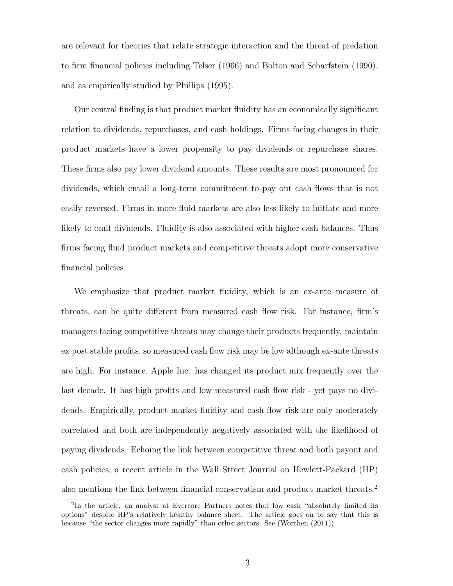are relevant for theories that relate strategic interaction and the threat of predation to firm financial policies including Telser (1966) and Bolton and Scharfstein (1990), and as empirically studied by Phillips (1995).

Our central finding is that product market fluidity has an economically significant relation to dividends, repurchases, and cash holdings. Firms facing changes in their product markets have a lower propensity to pay dividends or repurchase shares. These firms also pay lower dividend amounts. These results are most pronounced for dividends, which entail a long-term commitment to pay out cash flows that is not easily reversed. Firms in more fluid markets are also less likely to initiate and more likely to omit dividends. Fluidity is also associated with higher cash balances. Thus firms facing fluid product markets and competitive threats adopt more conservative financial policies.

We emphasize that product market fluidity, which is an ex-ante measure of threats, can be quite different from measured cash flow risk. For instance, firm's managers facing competitive threats may change their products frequently, maintain ex post stable profits, so measured cash flow risk may be low although ex-ante threats are high. For instance, Apple Inc. has changed its product mix frequently over the last decade. It has high profits and low measured cash flow risk - yet pays no dividends. Empirically, product market fluidity and cash flow risk are only moderately correlated and both are independently negatively associated with the likelihood of paying dividends. Echoing the link between competitive threat and both payout and cash policies, a recent article in the Wall Street Journal on Hewlett-Packard (HP) also mentions the link between financial conservatism and product market threats.<sup>2</sup>

<sup>&</sup>lt;sup>2</sup>In the article, an analyst at Evercore Partners notes that low cash "absolutely limited its options" despite HP's relatively healthy balance sheet. The article goes on to say that this is because "the sector changes more rapidly" than other sectors. See (Worthen (2011))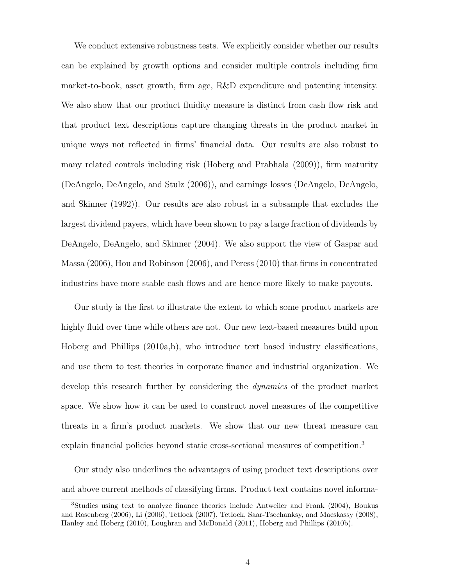We conduct extensive robustness tests. We explicitly consider whether our results can be explained by growth options and consider multiple controls including firm market-to-book, asset growth, firm age, R&D expenditure and patenting intensity. We also show that our product fluidity measure is distinct from cash flow risk and that product text descriptions capture changing threats in the product market in unique ways not reflected in firms' financial data. Our results are also robust to many related controls including risk (Hoberg and Prabhala (2009)), firm maturity (DeAngelo, DeAngelo, and Stulz (2006)), and earnings losses (DeAngelo, DeAngelo, and Skinner (1992)). Our results are also robust in a subsample that excludes the largest dividend payers, which have been shown to pay a large fraction of dividends by DeAngelo, DeAngelo, and Skinner (2004). We also support the view of Gaspar and Massa (2006), Hou and Robinson (2006), and Peress (2010) that firms in concentrated industries have more stable cash flows and are hence more likely to make payouts.

Our study is the first to illustrate the extent to which some product markets are highly fluid over time while others are not. Our new text-based measures build upon Hoberg and Phillips (2010a,b), who introduce text based industry classifications, and use them to test theories in corporate finance and industrial organization. We develop this research further by considering the dynamics of the product market space. We show how it can be used to construct novel measures of the competitive threats in a firm's product markets. We show that our new threat measure can explain financial policies beyond static cross-sectional measures of competition.<sup>3</sup>

Our study also underlines the advantages of using product text descriptions over and above current methods of classifying firms. Product text contains novel informa-

<sup>3</sup>Studies using text to analyze finance theories include Antweiler and Frank (2004), Boukus and Rosenberg (2006), Li (2006), Tetlock (2007), Tetlock, Saar-Tsechanksy, and Macskassy (2008), Hanley and Hoberg (2010), Loughran and McDonald (2011), Hoberg and Phillips (2010b).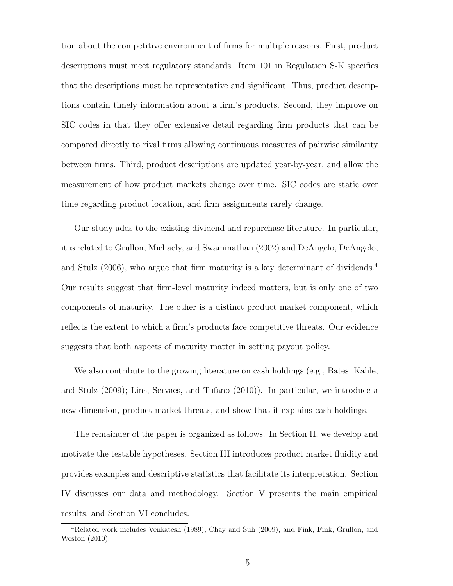tion about the competitive environment of firms for multiple reasons. First, product descriptions must meet regulatory standards. Item 101 in Regulation S-K specifies that the descriptions must be representative and significant. Thus, product descriptions contain timely information about a firm's products. Second, they improve on SIC codes in that they offer extensive detail regarding firm products that can be compared directly to rival firms allowing continuous measures of pairwise similarity between firms. Third, product descriptions are updated year-by-year, and allow the measurement of how product markets change over time. SIC codes are static over time regarding product location, and firm assignments rarely change.

Our study adds to the existing dividend and repurchase literature. In particular, it is related to Grullon, Michaely, and Swaminathan (2002) and DeAngelo, DeAngelo, and Stulz (2006), who argue that firm maturity is a key determinant of dividends.<sup>4</sup> Our results suggest that firm-level maturity indeed matters, but is only one of two components of maturity. The other is a distinct product market component, which reflects the extent to which a firm's products face competitive threats. Our evidence suggests that both aspects of maturity matter in setting payout policy.

We also contribute to the growing literature on cash holdings (e.g., Bates, Kahle, and Stulz (2009); Lins, Servaes, and Tufano (2010)). In particular, we introduce a new dimension, product market threats, and show that it explains cash holdings.

The remainder of the paper is organized as follows. In Section II, we develop and motivate the testable hypotheses. Section III introduces product market fluidity and provides examples and descriptive statistics that facilitate its interpretation. Section IV discusses our data and methodology. Section V presents the main empirical results, and Section VI concludes.

<sup>4</sup>Related work includes Venkatesh (1989), Chay and Suh (2009), and Fink, Fink, Grullon, and Weston (2010).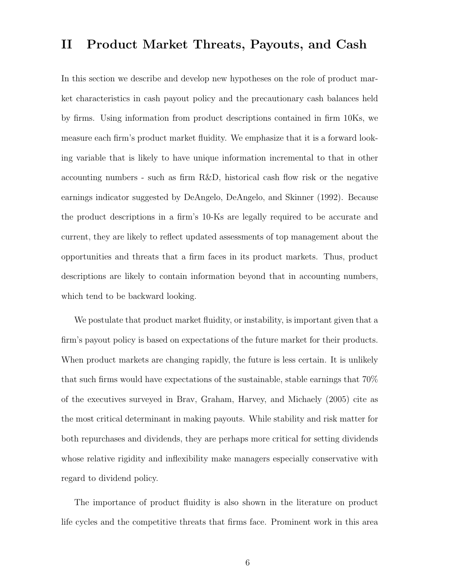### II Product Market Threats, Payouts, and Cash

In this section we describe and develop new hypotheses on the role of product market characteristics in cash payout policy and the precautionary cash balances held by firms. Using information from product descriptions contained in firm 10Ks, we measure each firm's product market fluidity. We emphasize that it is a forward looking variable that is likely to have unique information incremental to that in other accounting numbers - such as firm R&D, historical cash flow risk or the negative earnings indicator suggested by DeAngelo, DeAngelo, and Skinner (1992). Because the product descriptions in a firm's 10-Ks are legally required to be accurate and current, they are likely to reflect updated assessments of top management about the opportunities and threats that a firm faces in its product markets. Thus, product descriptions are likely to contain information beyond that in accounting numbers, which tend to be backward looking.

We postulate that product market fluidity, or instability, is important given that a firm's payout policy is based on expectations of the future market for their products. When product markets are changing rapidly, the future is less certain. It is unlikely that such firms would have expectations of the sustainable, stable earnings that 70% of the executives surveyed in Brav, Graham, Harvey, and Michaely (2005) cite as the most critical determinant in making payouts. While stability and risk matter for both repurchases and dividends, they are perhaps more critical for setting dividends whose relative rigidity and inflexibility make managers especially conservative with regard to dividend policy.

The importance of product fluidity is also shown in the literature on product life cycles and the competitive threats that firms face. Prominent work in this area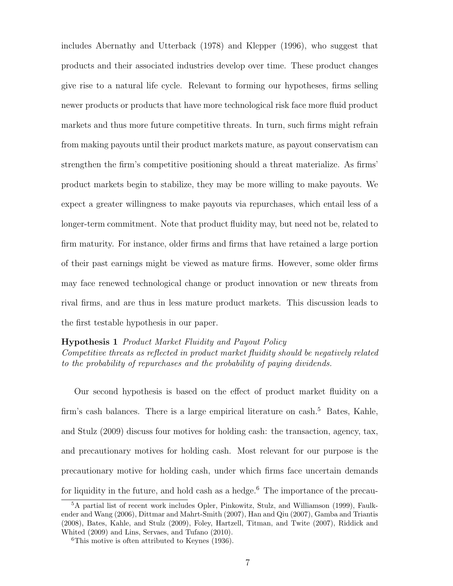includes Abernathy and Utterback (1978) and Klepper (1996), who suggest that products and their associated industries develop over time. These product changes give rise to a natural life cycle. Relevant to forming our hypotheses, firms selling newer products or products that have more technological risk face more fluid product markets and thus more future competitive threats. In turn, such firms might refrain from making payouts until their product markets mature, as payout conservatism can strengthen the firm's competitive positioning should a threat materialize. As firms' product markets begin to stabilize, they may be more willing to make payouts. We expect a greater willingness to make payouts via repurchases, which entail less of a longer-term commitment. Note that product fluidity may, but need not be, related to firm maturity. For instance, older firms and firms that have retained a large portion of their past earnings might be viewed as mature firms. However, some older firms may face renewed technological change or product innovation or new threats from rival firms, and are thus in less mature product markets. This discussion leads to the first testable hypothesis in our paper.

### Hypothesis 1 Product Market Fluidity and Payout Policy

Competitive threats as reflected in product market fluidity should be negatively related to the probability of repurchases and the probability of paying dividends.

Our second hypothesis is based on the effect of product market fluidity on a firm's cash balances. There is a large empirical literature on cash.<sup>5</sup> Bates, Kahle, and Stulz (2009) discuss four motives for holding cash: the transaction, agency, tax, and precautionary motives for holding cash. Most relevant for our purpose is the precautionary motive for holding cash, under which firms face uncertain demands for liquidity in the future, and hold cash as a hedge.<sup>6</sup> The importance of the precau-

<sup>5</sup>A partial list of recent work includes Opler, Pinkowitz, Stulz, and Williamson (1999), Faulkender and Wang (2006), Dittmar and Mahrt-Smith (2007), Han and Qiu (2007), Gamba and Triantis (2008), Bates, Kahle, and Stulz (2009), Foley, Hartzell, Titman, and Twite (2007), Riddick and Whited (2009) and Lins, Servaes, and Tufano (2010).

<sup>6</sup>This motive is often attributed to Keynes (1936).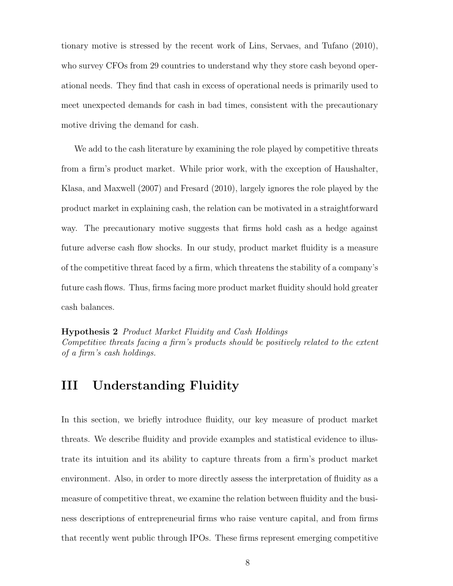tionary motive is stressed by the recent work of Lins, Servaes, and Tufano (2010), who survey CFOs from 29 countries to understand why they store cash beyond operational needs. They find that cash in excess of operational needs is primarily used to meet unexpected demands for cash in bad times, consistent with the precautionary motive driving the demand for cash.

We add to the cash literature by examining the role played by competitive threats from a firm's product market. While prior work, with the exception of Haushalter, Klasa, and Maxwell (2007) and Fresard (2010), largely ignores the role played by the product market in explaining cash, the relation can be motivated in a straightforward way. The precautionary motive suggests that firms hold cash as a hedge against future adverse cash flow shocks. In our study, product market fluidity is a measure of the competitive threat faced by a firm, which threatens the stability of a company's future cash flows. Thus, firms facing more product market fluidity should hold greater cash balances.

Hypothesis 2 Product Market Fluidity and Cash Holdings Competitive threats facing a firm's products should be positively related to the extent of a firm's cash holdings.

### III Understanding Fluidity

In this section, we briefly introduce fluidity, our key measure of product market threats. We describe fluidity and provide examples and statistical evidence to illustrate its intuition and its ability to capture threats from a firm's product market environment. Also, in order to more directly assess the interpretation of fluidity as a measure of competitive threat, we examine the relation between fluidity and the business descriptions of entrepreneurial firms who raise venture capital, and from firms that recently went public through IPOs. These firms represent emerging competitive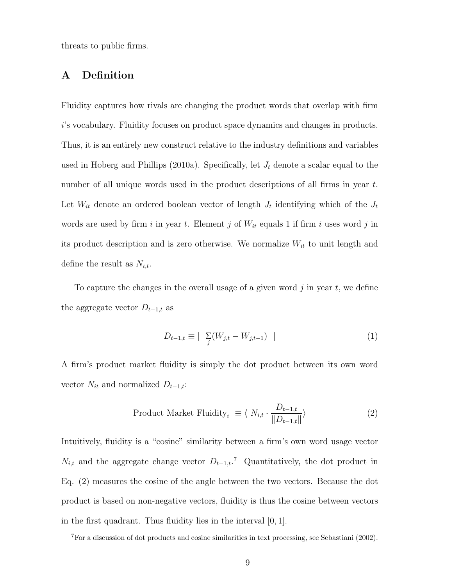threats to public firms.

### A Definition

Fluidity captures how rivals are changing the product words that overlap with firm i's vocabulary. Fluidity focuses on product space dynamics and changes in products. Thus, it is an entirely new construct relative to the industry definitions and variables used in Hoberg and Phillips (2010a). Specifically, let  $J_t$  denote a scalar equal to the number of all unique words used in the product descriptions of all firms in year t. Let  $W_{it}$  denote an ordered boolean vector of length  $J_t$  identifying which of the  $J_t$ words are used by firm i in year t. Element j of  $W_{it}$  equals 1 if firm i uses word j in its product description and is zero otherwise. We normalize  $W_{it}$  to unit length and define the result as  $N_{i,t}$ .

To capture the changes in the overall usage of a given word  $j$  in year  $t$ , we define the aggregate vector  $D_{t-1,t}$  as

$$
D_{t-1,t} \equiv |\sum_{j} (W_{j,t} - W_{j,t-1})|
$$
 (1)

A firm's product market fluidity is simply the dot product between its own word vector  $N_{it}$  and normalized  $D_{t-1,t}$ :

Product Market Fluidity<sub>i</sub> 
$$
\equiv \langle N_{i,t} \cdot \frac{D_{t-1,t}}{\|D_{t-1,t}\|} \rangle
$$
 (2)

Intuitively, fluidity is a "cosine" similarity between a firm's own word usage vector  $N_{i,t}$  and the aggregate change vector  $D_{t-1,t}$ <sup>7</sup> Quantitatively, the dot product in Eq. (2) measures the cosine of the angle between the two vectors. Because the dot product is based on non-negative vectors, fluidity is thus the cosine between vectors in the first quadrant. Thus fluidity lies in the interval [0, 1].

<sup>7</sup>For a discussion of dot products and cosine similarities in text processing, see Sebastiani (2002).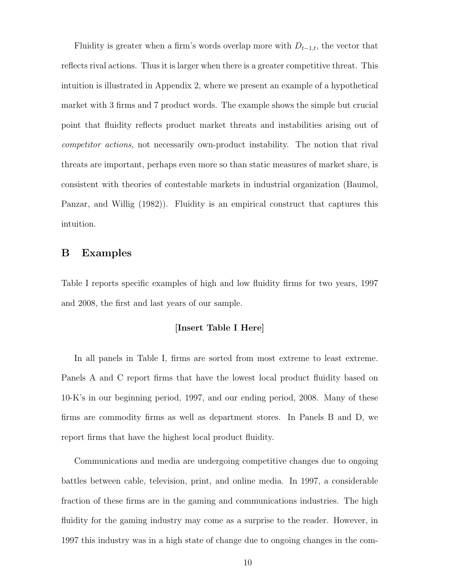Fluidity is greater when a firm's words overlap more with  $D_{t-1,t}$ , the vector that reflects rival actions. Thus it is larger when there is a greater competitive threat. This intuition is illustrated in Appendix 2, where we present an example of a hypothetical market with 3 firms and 7 product words. The example shows the simple but crucial point that fluidity reflects product market threats and instabilities arising out of competitor actions, not necessarily own-product instability. The notion that rival threats are important, perhaps even more so than static measures of market share, is consistent with theories of contestable markets in industrial organization (Baumol, Panzar, and Willig (1982)). Fluidity is an empirical construct that captures this intuition.

### B Examples

Table I reports specific examples of high and low fluidity firms for two years, 1997 and 2008, the first and last years of our sample.

### [Insert Table I Here]

In all panels in Table I, firms are sorted from most extreme to least extreme. Panels A and C report firms that have the lowest local product fluidity based on 10-K's in our beginning period, 1997, and our ending period, 2008. Many of these firms are commodity firms as well as department stores. In Panels B and D, we report firms that have the highest local product fluidity.

Communications and media are undergoing competitive changes due to ongoing battles between cable, television, print, and online media. In 1997, a considerable fraction of these firms are in the gaming and communications industries. The high fluidity for the gaming industry may come as a surprise to the reader. However, in 1997 this industry was in a high state of change due to ongoing changes in the com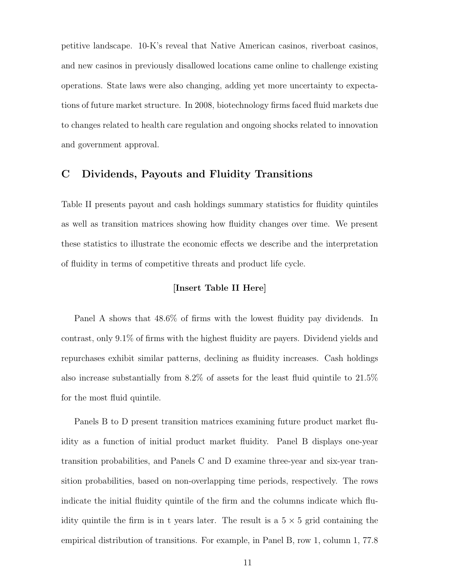petitive landscape. 10-K's reveal that Native American casinos, riverboat casinos, and new casinos in previously disallowed locations came online to challenge existing operations. State laws were also changing, adding yet more uncertainty to expectations of future market structure. In 2008, biotechnology firms faced fluid markets due to changes related to health care regulation and ongoing shocks related to innovation and government approval.

### C Dividends, Payouts and Fluidity Transitions

Table II presents payout and cash holdings summary statistics for fluidity quintiles as well as transition matrices showing how fluidity changes over time. We present these statistics to illustrate the economic effects we describe and the interpretation of fluidity in terms of competitive threats and product life cycle.

### [Insert Table II Here]

Panel A shows that 48.6% of firms with the lowest fluidity pay dividends. In contrast, only 9.1% of firms with the highest fluidity are payers. Dividend yields and repurchases exhibit similar patterns, declining as fluidity increases. Cash holdings also increase substantially from 8.2% of assets for the least fluid quintile to 21.5% for the most fluid quintile.

Panels B to D present transition matrices examining future product market fluidity as a function of initial product market fluidity. Panel B displays one-year transition probabilities, and Panels C and D examine three-year and six-year transition probabilities, based on non-overlapping time periods, respectively. The rows indicate the initial fluidity quintile of the firm and the columns indicate which fluidity quintile the firm is in t years later. The result is a  $5 \times 5$  grid containing the empirical distribution of transitions. For example, in Panel B, row 1, column 1, 77.8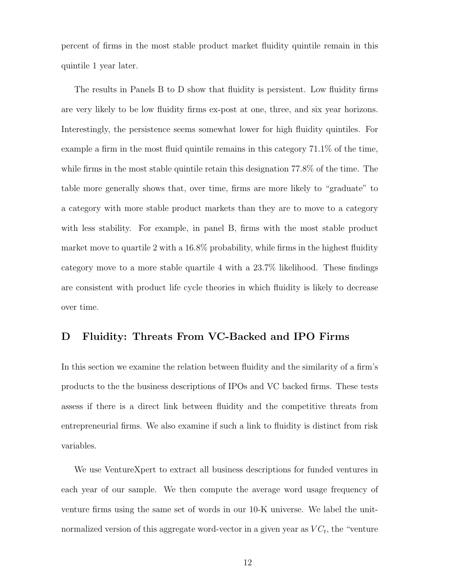percent of firms in the most stable product market fluidity quintile remain in this quintile 1 year later.

The results in Panels B to D show that fluidity is persistent. Low fluidity firms are very likely to be low fluidity firms ex-post at one, three, and six year horizons. Interestingly, the persistence seems somewhat lower for high fluidity quintiles. For example a firm in the most fluid quintile remains in this category 71.1% of the time, while firms in the most stable quintile retain this designation 77.8% of the time. The table more generally shows that, over time, firms are more likely to "graduate" to a category with more stable product markets than they are to move to a category with less stability. For example, in panel B, firms with the most stable product market move to quartile 2 with a 16.8% probability, while firms in the highest fluidity category move to a more stable quartile 4 with a 23.7% likelihood. These findings are consistent with product life cycle theories in which fluidity is likely to decrease over time.

### D Fluidity: Threats From VC-Backed and IPO Firms

In this section we examine the relation between fluidity and the similarity of a firm's products to the the business descriptions of IPOs and VC backed firms. These tests assess if there is a direct link between fluidity and the competitive threats from entrepreneurial firms. We also examine if such a link to fluidity is distinct from risk variables.

We use VentureXpert to extract all business descriptions for funded ventures in each year of our sample. We then compute the average word usage frequency of venture firms using the same set of words in our 10-K universe. We label the unitnormalized version of this aggregate word-vector in a given year as  $VC_t$ , the "venture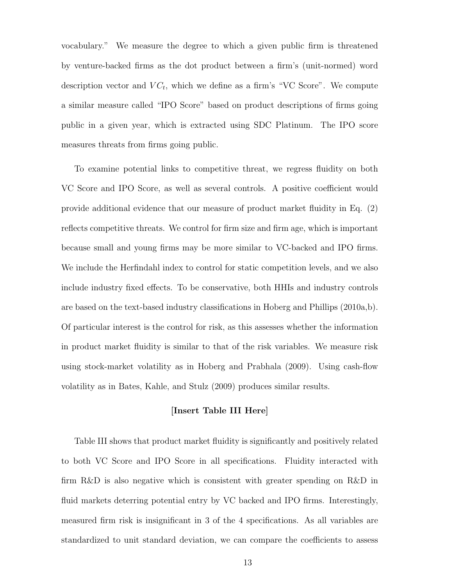vocabulary." We measure the degree to which a given public firm is threatened by venture-backed firms as the dot product between a firm's (unit-normed) word description vector and  $VC_t$ , which we define as a firm's "VC Score". We compute a similar measure called "IPO Score" based on product descriptions of firms going public in a given year, which is extracted using SDC Platinum. The IPO score measures threats from firms going public.

To examine potential links to competitive threat, we regress fluidity on both VC Score and IPO Score, as well as several controls. A positive coefficient would provide additional evidence that our measure of product market fluidity in Eq. (2) reflects competitive threats. We control for firm size and firm age, which is important because small and young firms may be more similar to VC-backed and IPO firms. We include the Herfindahl index to control for static competition levels, and we also include industry fixed effects. To be conservative, both HHIs and industry controls are based on the text-based industry classifications in Hoberg and Phillips (2010a,b). Of particular interest is the control for risk, as this assesses whether the information in product market fluidity is similar to that of the risk variables. We measure risk using stock-market volatility as in Hoberg and Prabhala (2009). Using cash-flow volatility as in Bates, Kahle, and Stulz (2009) produces similar results.

### [Insert Table III Here]

Table III shows that product market fluidity is significantly and positively related to both VC Score and IPO Score in all specifications. Fluidity interacted with firm R&D is also negative which is consistent with greater spending on R&D in fluid markets deterring potential entry by VC backed and IPO firms. Interestingly, measured firm risk is insignificant in 3 of the 4 specifications. As all variables are standardized to unit standard deviation, we can compare the coefficients to assess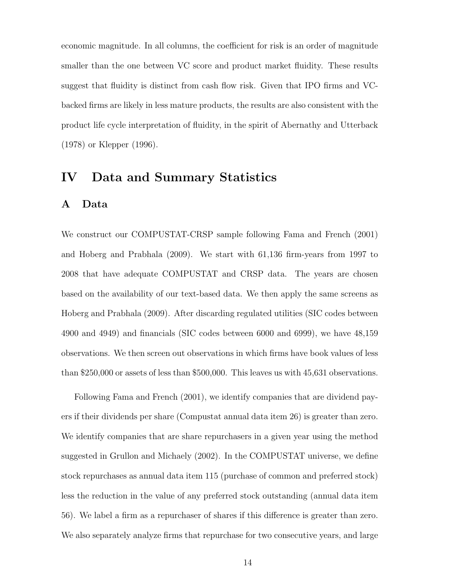economic magnitude. In all columns, the coefficient for risk is an order of magnitude smaller than the one between VC score and product market fluidity. These results suggest that fluidity is distinct from cash flow risk. Given that IPO firms and VCbacked firms are likely in less mature products, the results are also consistent with the product life cycle interpretation of fluidity, in the spirit of Abernathy and Utterback (1978) or Klepper (1996).

### IV Data and Summary Statistics

### A Data

We construct our COMPUSTAT-CRSP sample following Fama and French (2001) and Hoberg and Prabhala (2009). We start with 61,136 firm-years from 1997 to 2008 that have adequate COMPUSTAT and CRSP data. The years are chosen based on the availability of our text-based data. We then apply the same screens as Hoberg and Prabhala (2009). After discarding regulated utilities (SIC codes between 4900 and 4949) and financials (SIC codes between 6000 and 6999), we have 48,159 observations. We then screen out observations in which firms have book values of less than \$250,000 or assets of less than \$500,000. This leaves us with 45,631 observations.

Following Fama and French (2001), we identify companies that are dividend payers if their dividends per share (Compustat annual data item 26) is greater than zero. We identify companies that are share repurchasers in a given year using the method suggested in Grullon and Michaely (2002). In the COMPUSTAT universe, we define stock repurchases as annual data item 115 (purchase of common and preferred stock) less the reduction in the value of any preferred stock outstanding (annual data item 56). We label a firm as a repurchaser of shares if this difference is greater than zero. We also separately analyze firms that repurchase for two consecutive years, and large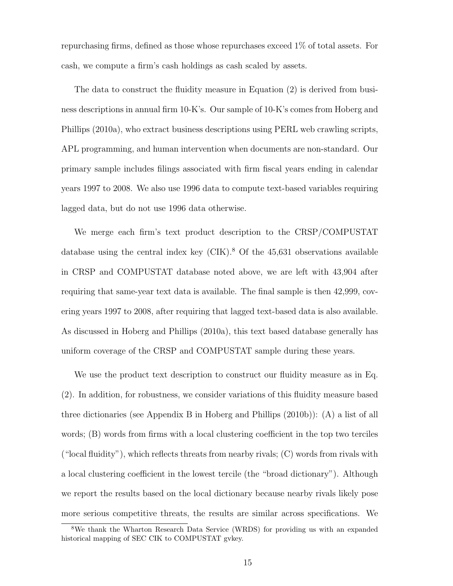repurchasing firms, defined as those whose repurchases exceed 1% of total assets. For cash, we compute a firm's cash holdings as cash scaled by assets.

The data to construct the fluidity measure in Equation (2) is derived from business descriptions in annual firm 10-K's. Our sample of 10-K's comes from Hoberg and Phillips (2010a), who extract business descriptions using PERL web crawling scripts, APL programming, and human intervention when documents are non-standard. Our primary sample includes filings associated with firm fiscal years ending in calendar years 1997 to 2008. We also use 1996 data to compute text-based variables requiring lagged data, but do not use 1996 data otherwise.

We merge each firm's text product description to the CRSP/COMPUSTAT database using the central index key  $\rm (CIK)^8$  Of the 45,631 observations available in CRSP and COMPUSTAT database noted above, we are left with 43,904 after requiring that same-year text data is available. The final sample is then 42,999, covering years 1997 to 2008, after requiring that lagged text-based data is also available. As discussed in Hoberg and Phillips (2010a), this text based database generally has uniform coverage of the CRSP and COMPUSTAT sample during these years.

We use the product text description to construct our fluidity measure as in Eq. (2). In addition, for robustness, we consider variations of this fluidity measure based three dictionaries (see Appendix B in Hoberg and Phillips (2010b)): (A) a list of all words; (B) words from firms with a local clustering coefficient in the top two terciles ("local fluidity"), which reflects threats from nearby rivals; (C) words from rivals with a local clustering coefficient in the lowest tercile (the "broad dictionary"). Although we report the results based on the local dictionary because nearby rivals likely pose more serious competitive threats, the results are similar across specifications. We

<sup>8</sup>We thank the Wharton Research Data Service (WRDS) for providing us with an expanded historical mapping of SEC CIK to COMPUSTAT gvkey.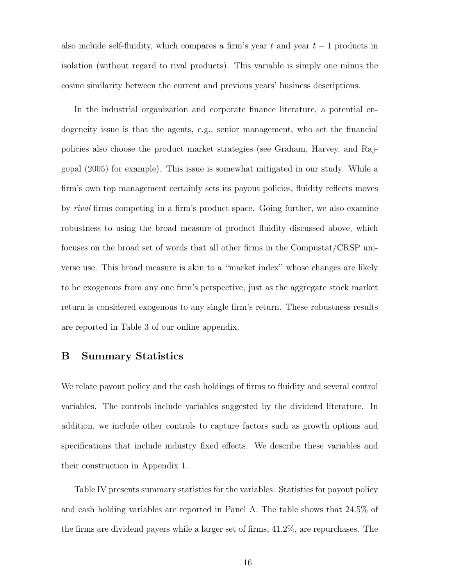also include self-fluidity, which compares a firm's year t and year  $t-1$  products in isolation (without regard to rival products). This variable is simply one minus the cosine similarity between the current and previous years' business descriptions.

In the industrial organization and corporate finance literature, a potential endogeneity issue is that the agents, e.g., senior management, who set the financial policies also choose the product market strategies (see Graham, Harvey, and Rajgopal (2005) for example). This issue is somewhat mitigated in our study. While a firm's own top management certainly sets its payout policies, fluidity reflects moves by rival firms competing in a firm's product space. Going further, we also examine robustness to using the broad measure of product fluidity discussed above, which focuses on the broad set of words that all other firms in the Compustat/CRSP universe use. This broad measure is akin to a "market index" whose changes are likely to be exogenous from any one firm's perspective, just as the aggregate stock market return is considered exogenous to any single firm's return. These robustness results are reported in Table 3 of our online appendix.

### B Summary Statistics

We relate payout policy and the cash holdings of firms to fluidity and several control variables. The controls include variables suggested by the dividend literature. In addition, we include other controls to capture factors such as growth options and specifications that include industry fixed effects. We describe these variables and their construction in Appendix 1.

Table IV presents summary statistics for the variables. Statistics for payout policy and cash holding variables are reported in Panel A. The table shows that 24.5% of the firms are dividend payers while a larger set of firms, 41.2%, are repurchases. The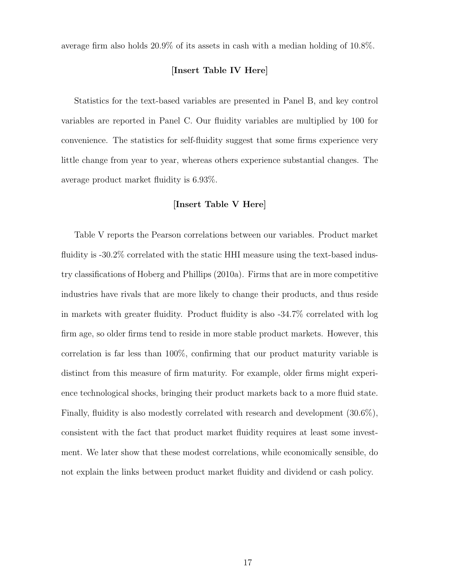average firm also holds 20.9% of its assets in cash with a median holding of 10.8%.

### [Insert Table IV Here]

Statistics for the text-based variables are presented in Panel B, and key control variables are reported in Panel C. Our fluidity variables are multiplied by 100 for convenience. The statistics for self-fluidity suggest that some firms experience very little change from year to year, whereas others experience substantial changes. The average product market fluidity is 6.93%.

### [Insert Table V Here]

Table V reports the Pearson correlations between our variables. Product market fluidity is -30.2% correlated with the static HHI measure using the text-based industry classifications of Hoberg and Phillips (2010a). Firms that are in more competitive industries have rivals that are more likely to change their products, and thus reside in markets with greater fluidity. Product fluidity is also -34.7% correlated with log firm age, so older firms tend to reside in more stable product markets. However, this correlation is far less than 100%, confirming that our product maturity variable is distinct from this measure of firm maturity. For example, older firms might experience technological shocks, bringing their product markets back to a more fluid state. Finally, fluidity is also modestly correlated with research and development (30.6%), consistent with the fact that product market fluidity requires at least some investment. We later show that these modest correlations, while economically sensible, do not explain the links between product market fluidity and dividend or cash policy.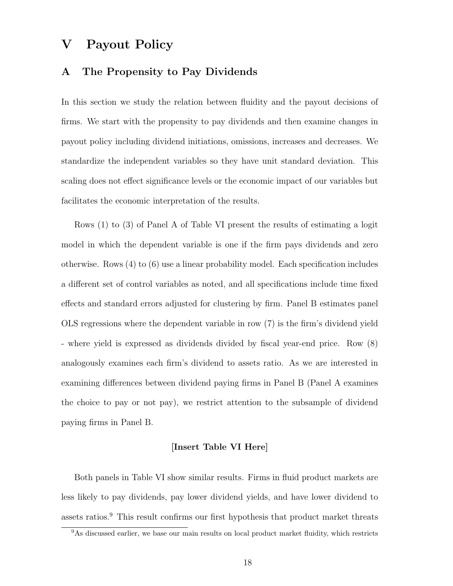### V Payout Policy

### A The Propensity to Pay Dividends

In this section we study the relation between fluidity and the payout decisions of firms. We start with the propensity to pay dividends and then examine changes in payout policy including dividend initiations, omissions, increases and decreases. We standardize the independent variables so they have unit standard deviation. This scaling does not effect significance levels or the economic impact of our variables but facilitates the economic interpretation of the results.

Rows (1) to (3) of Panel A of Table VI present the results of estimating a logit model in which the dependent variable is one if the firm pays dividends and zero otherwise. Rows (4) to (6) use a linear probability model. Each specification includes a different set of control variables as noted, and all specifications include time fixed effects and standard errors adjusted for clustering by firm. Panel B estimates panel OLS regressions where the dependent variable in row (7) is the firm's dividend yield - where yield is expressed as dividends divided by fiscal year-end price. Row (8) analogously examines each firm's dividend to assets ratio. As we are interested in examining differences between dividend paying firms in Panel B (Panel A examines the choice to pay or not pay), we restrict attention to the subsample of dividend paying firms in Panel B.

### [Insert Table VI Here]

Both panels in Table VI show similar results. Firms in fluid product markets are less likely to pay dividends, pay lower dividend yields, and have lower dividend to assets ratios.<sup>9</sup> This result confirms our first hypothesis that product market threats

<sup>&</sup>lt;sup>9</sup>As discussed earlier, we base our main results on local product market fluidity, which restricts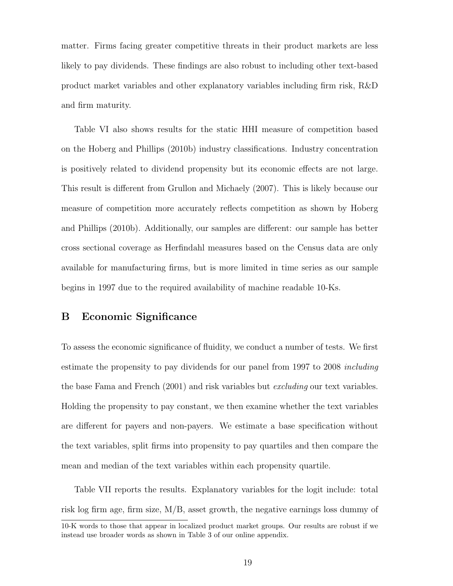matter. Firms facing greater competitive threats in their product markets are less likely to pay dividends. These findings are also robust to including other text-based product market variables and other explanatory variables including firm risk, R&D and firm maturity.

Table VI also shows results for the static HHI measure of competition based on the Hoberg and Phillips (2010b) industry classifications. Industry concentration is positively related to dividend propensity but its economic effects are not large. This result is different from Grullon and Michaely (2007). This is likely because our measure of competition more accurately reflects competition as shown by Hoberg and Phillips (2010b). Additionally, our samples are different: our sample has better cross sectional coverage as Herfindahl measures based on the Census data are only available for manufacturing firms, but is more limited in time series as our sample begins in 1997 due to the required availability of machine readable 10-Ks.

### B Economic Significance

To assess the economic significance of fluidity, we conduct a number of tests. We first estimate the propensity to pay dividends for our panel from 1997 to 2008 including the base Fama and French (2001) and risk variables but excluding our text variables. Holding the propensity to pay constant, we then examine whether the text variables are different for payers and non-payers. We estimate a base specification without the text variables, split firms into propensity to pay quartiles and then compare the mean and median of the text variables within each propensity quartile.

Table VII reports the results. Explanatory variables for the logit include: total risk log firm age, firm size, M/B, asset growth, the negative earnings loss dummy of

<sup>10-</sup>K words to those that appear in localized product market groups. Our results are robust if we instead use broader words as shown in Table 3 of our online appendix.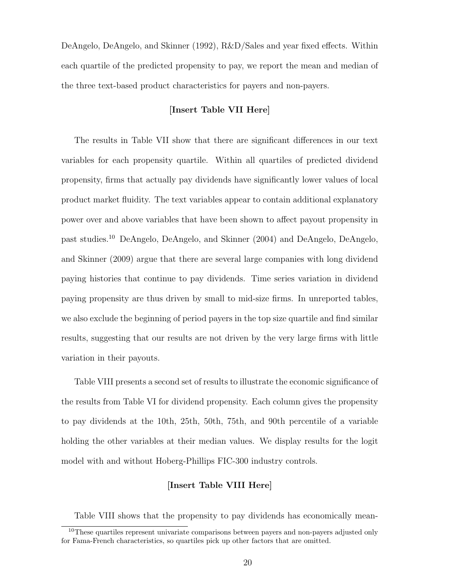DeAngelo, DeAngelo, and Skinner (1992), R&D/Sales and year fixed effects. Within each quartile of the predicted propensity to pay, we report the mean and median of the three text-based product characteristics for payers and non-payers.

### [Insert Table VII Here]

The results in Table VII show that there are significant differences in our text variables for each propensity quartile. Within all quartiles of predicted dividend propensity, firms that actually pay dividends have significantly lower values of local product market fluidity. The text variables appear to contain additional explanatory power over and above variables that have been shown to affect payout propensity in past studies.<sup>10</sup> DeAngelo, DeAngelo, and Skinner (2004) and DeAngelo, DeAngelo, and Skinner (2009) argue that there are several large companies with long dividend paying histories that continue to pay dividends. Time series variation in dividend paying propensity are thus driven by small to mid-size firms. In unreported tables, we also exclude the beginning of period payers in the top size quartile and find similar results, suggesting that our results are not driven by the very large firms with little variation in their payouts.

Table VIII presents a second set of results to illustrate the economic significance of the results from Table VI for dividend propensity. Each column gives the propensity to pay dividends at the 10th, 25th, 50th, 75th, and 90th percentile of a variable holding the other variables at their median values. We display results for the logit model with and without Hoberg-Phillips FIC-300 industry controls.

### [Insert Table VIII Here]

Table VIII shows that the propensity to pay dividends has economically mean-

 $10$ These quartiles represent univariate comparisons between payers and non-payers adjusted only for Fama-French characteristics, so quartiles pick up other factors that are omitted.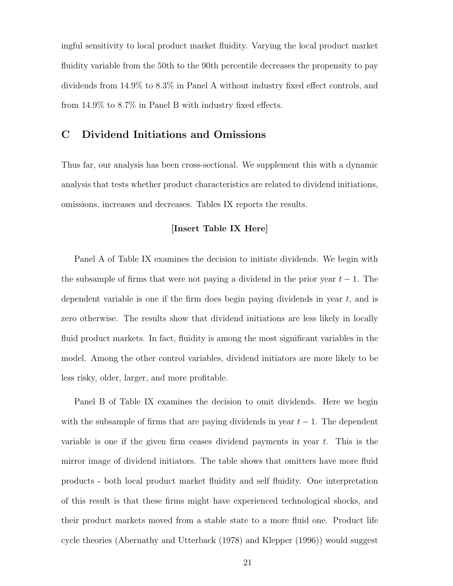ingful sensitivity to local product market fluidity. Varying the local product market fluidity variable from the 50th to the 90th percentile decreases the propensity to pay dividends from 14.9% to 8.3% in Panel A without industry fixed effect controls, and from 14.9% to 8.7% in Panel B with industry fixed effects.

### C Dividend Initiations and Omissions

Thus far, our analysis has been cross-sectional. We supplement this with a dynamic analysis that tests whether product characteristics are related to dividend initiations, omissions, increases and decreases. Tables IX reports the results.

### [Insert Table IX Here]

Panel A of Table IX examines the decision to initiate dividends. We begin with the subsample of firms that were not paying a dividend in the prior year  $t - 1$ . The dependent variable is one if the firm does begin paying dividends in year  $t$ , and is zero otherwise. The results show that dividend initiations are less likely in locally fluid product markets. In fact, fluidity is among the most significant variables in the model. Among the other control variables, dividend initiators are more likely to be less risky, older, larger, and more profitable.

Panel B of Table IX examines the decision to omit dividends. Here we begin with the subsample of firms that are paying dividends in year  $t - 1$ . The dependent variable is one if the given firm ceases dividend payments in year  $t$ . This is the mirror image of dividend initiators. The table shows that omitters have more fluid products - both local product market fluidity and self fluidity. One interpretation of this result is that these firms might have experienced technological shocks, and their product markets moved from a stable state to a more fluid one. Product life cycle theories (Abernathy and Utterback (1978) and Klepper (1996)) would suggest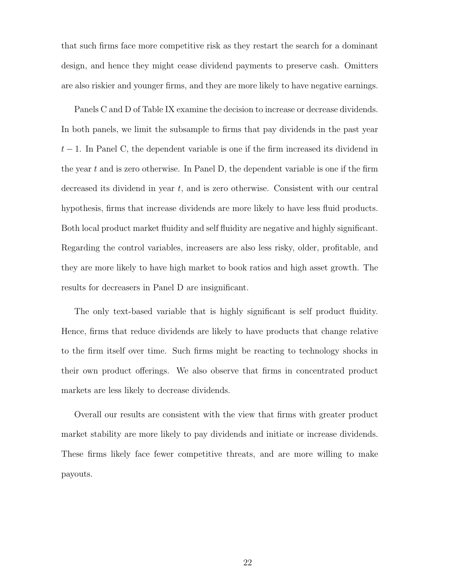that such firms face more competitive risk as they restart the search for a dominant design, and hence they might cease dividend payments to preserve cash. Omitters are also riskier and younger firms, and they are more likely to have negative earnings.

Panels C and D of Table IX examine the decision to increase or decrease dividends. In both panels, we limit the subsample to firms that pay dividends in the past year  $t-1$ . In Panel C, the dependent variable is one if the firm increased its dividend in the year  $t$  and is zero otherwise. In Panel D, the dependent variable is one if the firm decreased its dividend in year t, and is zero otherwise. Consistent with our central hypothesis, firms that increase dividends are more likely to have less fluid products. Both local product market fluidity and self fluidity are negative and highly significant. Regarding the control variables, increasers are also less risky, older, profitable, and they are more likely to have high market to book ratios and high asset growth. The results for decreasers in Panel D are insignificant.

The only text-based variable that is highly significant is self product fluidity. Hence, firms that reduce dividends are likely to have products that change relative to the firm itself over time. Such firms might be reacting to technology shocks in their own product offerings. We also observe that firms in concentrated product markets are less likely to decrease dividends.

Overall our results are consistent with the view that firms with greater product market stability are more likely to pay dividends and initiate or increase dividends. These firms likely face fewer competitive threats, and are more willing to make payouts.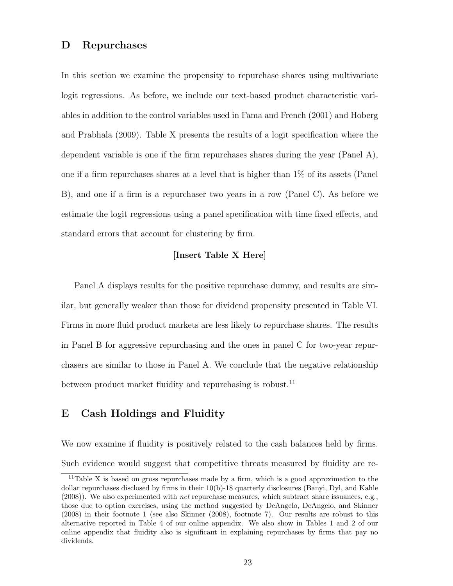### D Repurchases

In this section we examine the propensity to repurchase shares using multivariate logit regressions. As before, we include our text-based product characteristic variables in addition to the control variables used in Fama and French (2001) and Hoberg and Prabhala (2009). Table X presents the results of a logit specification where the dependent variable is one if the firm repurchases shares during the year (Panel A), one if a firm repurchases shares at a level that is higher than 1% of its assets (Panel B), and one if a firm is a repurchaser two years in a row (Panel C). As before we estimate the logit regressions using a panel specification with time fixed effects, and standard errors that account for clustering by firm.

### [Insert Table X Here]

Panel A displays results for the positive repurchase dummy, and results are similar, but generally weaker than those for dividend propensity presented in Table VI. Firms in more fluid product markets are less likely to repurchase shares. The results in Panel B for aggressive repurchasing and the ones in panel C for two-year repurchasers are similar to those in Panel A. We conclude that the negative relationship between product market fluidity and repurchasing is robust.<sup>11</sup>

### E Cash Holdings and Fluidity

We now examine if fluidity is positively related to the cash balances held by firms. Such evidence would suggest that competitive threats measured by fluidity are re-

<sup>11</sup>Table X is based on gross repurchases made by a firm, which is a good approximation to the dollar repurchases disclosed by firms in their 10(b)-18 quarterly disclosures (Banyi, Dyl, and Kahle (2008)). We also experimented with net repurchase measures, which subtract share issuances, e.g., those due to option exercises, using the method suggested by DeAngelo, DeAngelo, and Skinner (2008) in their footnote 1 (see also Skinner (2008), footnote 7). Our results are robust to this alternative reported in Table 4 of our online appendix. We also show in Tables 1 and 2 of our online appendix that fluidity also is significant in explaining repurchases by firms that pay no dividends.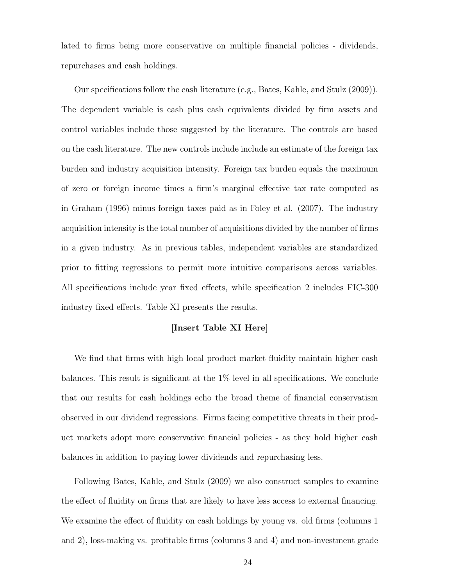lated to firms being more conservative on multiple financial policies - dividends, repurchases and cash holdings.

Our specifications follow the cash literature (e.g., Bates, Kahle, and Stulz (2009)). The dependent variable is cash plus cash equivalents divided by firm assets and control variables include those suggested by the literature. The controls are based on the cash literature. The new controls include include an estimate of the foreign tax burden and industry acquisition intensity. Foreign tax burden equals the maximum of zero or foreign income times a firm's marginal effective tax rate computed as in Graham (1996) minus foreign taxes paid as in Foley et al. (2007). The industry acquisition intensity is the total number of acquisitions divided by the number of firms in a given industry. As in previous tables, independent variables are standardized prior to fitting regressions to permit more intuitive comparisons across variables. All specifications include year fixed effects, while specification 2 includes FIC-300 industry fixed effects. Table XI presents the results.

### [Insert Table XI Here]

We find that firms with high local product market fluidity maintain higher cash balances. This result is significant at the 1% level in all specifications. We conclude that our results for cash holdings echo the broad theme of financial conservatism observed in our dividend regressions. Firms facing competitive threats in their product markets adopt more conservative financial policies - as they hold higher cash balances in addition to paying lower dividends and repurchasing less.

Following Bates, Kahle, and Stulz (2009) we also construct samples to examine the effect of fluidity on firms that are likely to have less access to external financing. We examine the effect of fluidity on cash holdings by young vs. old firms (columns 1 and 2), loss-making vs. profitable firms (columns 3 and 4) and non-investment grade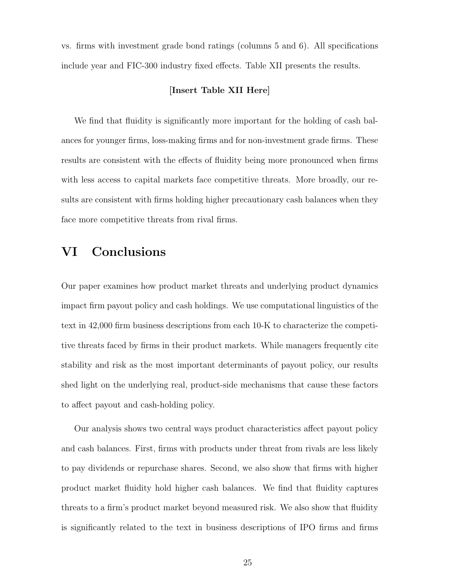vs. firms with investment grade bond ratings (columns 5 and 6). All specifications include year and FIC-300 industry fixed effects. Table XII presents the results.

### [Insert Table XII Here]

We find that fluidity is significantly more important for the holding of cash balances for younger firms, loss-making firms and for non-investment grade firms. These results are consistent with the effects of fluidity being more pronounced when firms with less access to capital markets face competitive threats. More broadly, our results are consistent with firms holding higher precautionary cash balances when they face more competitive threats from rival firms.

### VI Conclusions

Our paper examines how product market threats and underlying product dynamics impact firm payout policy and cash holdings. We use computational linguistics of the text in 42,000 firm business descriptions from each 10-K to characterize the competitive threats faced by firms in their product markets. While managers frequently cite stability and risk as the most important determinants of payout policy, our results shed light on the underlying real, product-side mechanisms that cause these factors to affect payout and cash-holding policy.

Our analysis shows two central ways product characteristics affect payout policy and cash balances. First, firms with products under threat from rivals are less likely to pay dividends or repurchase shares. Second, we also show that firms with higher product market fluidity hold higher cash balances. We find that fluidity captures threats to a firm's product market beyond measured risk. We also show that fluidity is significantly related to the text in business descriptions of IPO firms and firms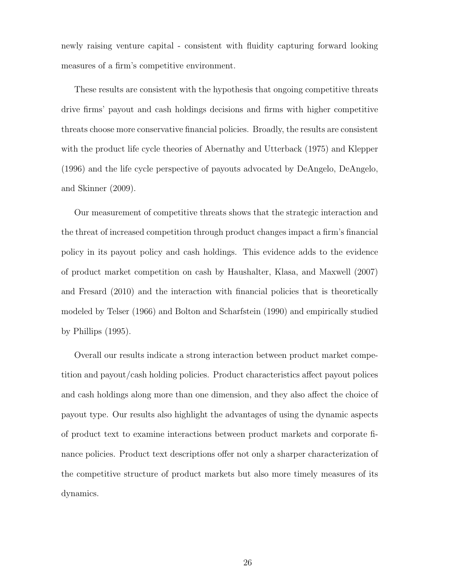newly raising venture capital - consistent with fluidity capturing forward looking measures of a firm's competitive environment.

These results are consistent with the hypothesis that ongoing competitive threats drive firms' payout and cash holdings decisions and firms with higher competitive threats choose more conservative financial policies. Broadly, the results are consistent with the product life cycle theories of Abernathy and Utterback (1975) and Klepper (1996) and the life cycle perspective of payouts advocated by DeAngelo, DeAngelo, and Skinner (2009).

Our measurement of competitive threats shows that the strategic interaction and the threat of increased competition through product changes impact a firm's financial policy in its payout policy and cash holdings. This evidence adds to the evidence of product market competition on cash by Haushalter, Klasa, and Maxwell (2007) and Fresard (2010) and the interaction with financial policies that is theoretically modeled by Telser (1966) and Bolton and Scharfstein (1990) and empirically studied by Phillips (1995).

Overall our results indicate a strong interaction between product market competition and payout/cash holding policies. Product characteristics affect payout polices and cash holdings along more than one dimension, and they also affect the choice of payout type. Our results also highlight the advantages of using the dynamic aspects of product text to examine interactions between product markets and corporate finance policies. Product text descriptions offer not only a sharper characterization of the competitive structure of product markets but also more timely measures of its dynamics.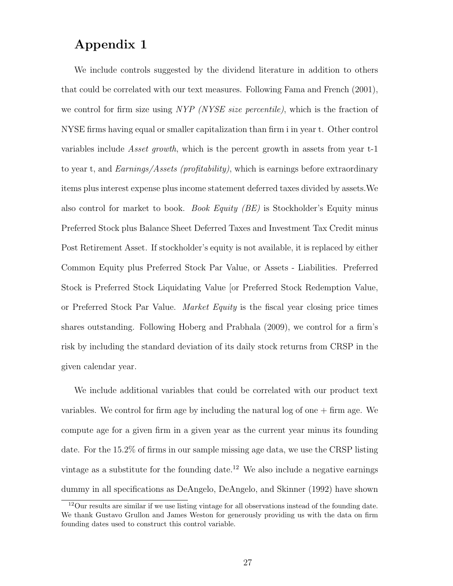### Appendix 1

We include controls suggested by the dividend literature in addition to others that could be correlated with our text measures. Following Fama and French (2001), we control for firm size using NYP (NYSE size percentile), which is the fraction of NYSE firms having equal or smaller capitalization than firm i in year t. Other control variables include Asset growth, which is the percent growth in assets from year t-1 to year t, and  $Earnings/Assets$  (profitability), which is earnings before extraordinary items plus interest expense plus income statement deferred taxes divided by assets.We also control for market to book. Book Equity (BE) is Stockholder's Equity minus Preferred Stock plus Balance Sheet Deferred Taxes and Investment Tax Credit minus Post Retirement Asset. If stockholder's equity is not available, it is replaced by either Common Equity plus Preferred Stock Par Value, or Assets - Liabilities. Preferred Stock is Preferred Stock Liquidating Value [or Preferred Stock Redemption Value, or Preferred Stock Par Value. Market Equity is the fiscal year closing price times shares outstanding. Following Hoberg and Prabhala (2009), we control for a firm's risk by including the standard deviation of its daily stock returns from CRSP in the given calendar year.

We include additional variables that could be correlated with our product text variables. We control for firm age by including the natural  $log$  of one  $+$  firm age. We compute age for a given firm in a given year as the current year minus its founding date. For the 15.2% of firms in our sample missing age data, we use the CRSP listing vintage as a substitute for the founding date.<sup>12</sup> We also include a negative earnings dummy in all specifications as DeAngelo, DeAngelo, and Skinner (1992) have shown

<sup>12</sup>Our results are similar if we use listing vintage for all observations instead of the founding date. We thank Gustavo Grullon and James Weston for generously providing us with the data on firm founding dates used to construct this control variable.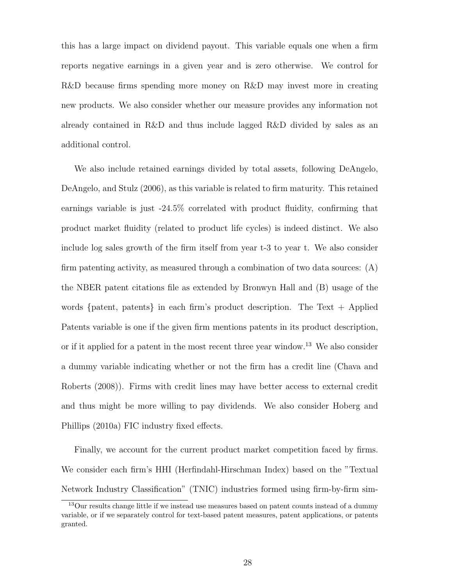this has a large impact on dividend payout. This variable equals one when a firm reports negative earnings in a given year and is zero otherwise. We control for R&D because firms spending more money on R&D may invest more in creating new products. We also consider whether our measure provides any information not already contained in R&D and thus include lagged R&D divided by sales as an additional control.

We also include retained earnings divided by total assets, following DeAngelo, DeAngelo, and Stulz (2006), as this variable is related to firm maturity. This retained earnings variable is just -24.5% correlated with product fluidity, confirming that product market fluidity (related to product life cycles) is indeed distinct. We also include log sales growth of the firm itself from year t-3 to year t. We also consider firm patenting activity, as measured through a combination of two data sources: (A) the NBER patent citations file as extended by Bronwyn Hall and (B) usage of the words  $\{$  patent, patents $\}$  in each firm's product description. The Text  $+$  Applied Patents variable is one if the given firm mentions patents in its product description, or if it applied for a patent in the most recent three year window.<sup>13</sup> We also consider a dummy variable indicating whether or not the firm has a credit line (Chava and Roberts (2008)). Firms with credit lines may have better access to external credit and thus might be more willing to pay dividends. We also consider Hoberg and Phillips (2010a) FIC industry fixed effects.

Finally, we account for the current product market competition faced by firms. We consider each firm's HHI (Herfindahl-Hirschman Index) based on the "Textual Network Industry Classification" (TNIC) industries formed using firm-by-firm sim-

<sup>&</sup>lt;sup>13</sup>Our results change little if we instead use measures based on patent counts instead of a dummy variable, or if we separately control for text-based patent measures, patent applications, or patents granted.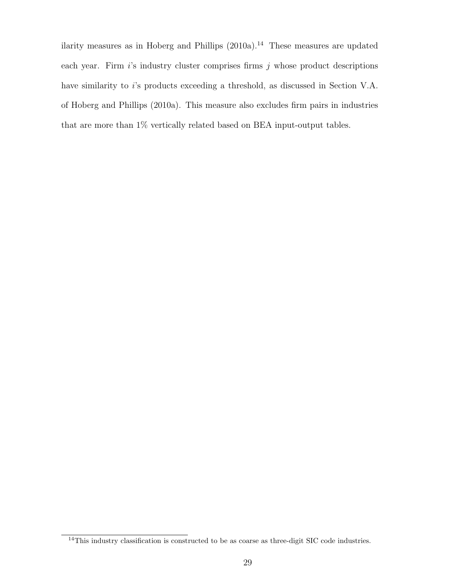ilarity measures as in Hoberg and Phillips  $(2010a).<sup>14</sup>$  These measures are updated each year. Firm  $i$ 's industry cluster comprises firms  $j$  whose product descriptions have similarity to i's products exceeding a threshold, as discussed in Section V.A. of Hoberg and Phillips (2010a). This measure also excludes firm pairs in industries that are more than 1% vertically related based on BEA input-output tables.

<sup>&</sup>lt;sup>14</sup>This industry classification is constructed to be as coarse as three-digit SIC code industries.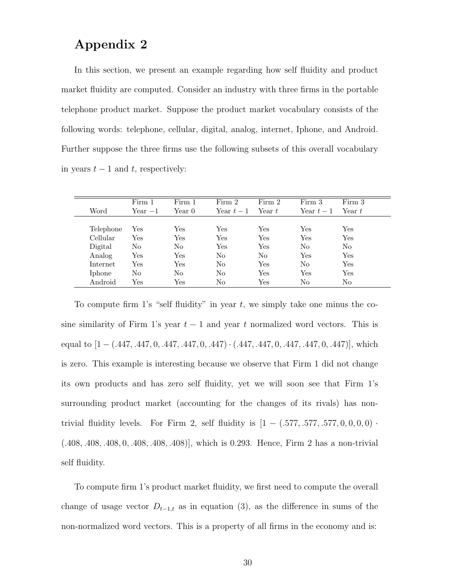### Appendix 2

In this section, we present an example regarding how self fluidity and product market fluidity are computed. Consider an industry with three firms in the portable telephone product market. Suppose the product market vocabulary consists of the following words: telephone, cellular, digital, analog, internet, Iphone, and Android. Further suppose the three firms use the following subsets of this overall vocabulary in years  $t - 1$  and  $t$ , respectively:

|           | Firm 1    | Firm 1               | Firm 2     | Firm 2         | Firm 3         | Firm 3         |
|-----------|-----------|----------------------|------------|----------------|----------------|----------------|
| Word      | $Year -1$ | Year 0-              | Year $t-1$ | Year $t$       | Year $t-1$     | Year $t$       |
|           |           |                      |            |                |                |                |
| Telephone | Yes       | $\operatorname{Yes}$ | Yes        | Yes            | Yes            | Yes            |
| Cellular  | Yes       | Yes                  | Yes        | Yes            | Yes            | Yes            |
| Digital   | No        | N <sub>o</sub>       | Yes        | Yes            | N <sub>0</sub> | No             |
| Analog    | Yes       | Yes                  | No         | N <sub>0</sub> | Yes            | Yes            |
| Internet  | Yes       | Yes                  | No         | Yes            | No             | Yes            |
| Iphone    | No        | No                   | No         | Yes            | Yes            | Yes            |
| Android   | Yes       | Yes                  | No         | Yes            | N <sub>0</sub> | N <sub>o</sub> |

To compute firm 1's "self fluidity" in year  $t$ , we simply take one minus the cosine similarity of Firm 1's year  $t - 1$  and year t normalized word vectors. This is equal to  $[1 - (.447, .447, 0, .447, .447, 0, .447) \cdot (.447, .447, 0, .447, .447, 0, .447)]$ , which is zero. This example is interesting because we observe that Firm 1 did not change its own products and has zero self fluidity, yet we will soon see that Firm 1's surrounding product market (accounting for the changes of its rivals) has nontrivial fluidity levels. For Firm 2, self fluidity is  $[1 - (.577, .577, .577, 0, 0, 0, 0)$ . (.408, .408, .408, 0, .408, .408, .408)], which is 0.293. Hence, Firm 2 has a non-trivial self fluidity.

To compute firm 1's product market fluidity, we first need to compute the overall change of usage vector  $D_{t-1,t}$  as in equation (3), as the difference in sums of the non-normalized word vectors. This is a property of all firms in the economy and is: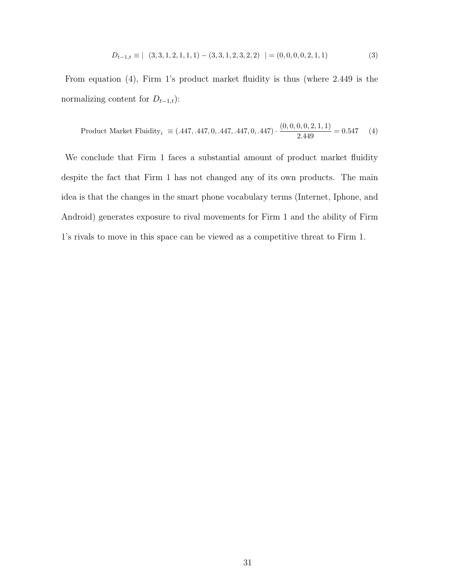$$
D_{t-1,t} \equiv | \quad (3,3,1,2,1,1,1) - (3,3,1,2,3,2,2) \quad | = (0,0,0,0,2,1,1) \tag{3}
$$

From equation (4), Firm 1's product market fluidity is thus (where 2.449 is the normalizing content for  $D_{t-1,t}$ ):

Product Market Fluidity<sub>i</sub> 
$$
\equiv
$$
 (.447, .447, 0, .447, .447, 0, .447)  $\cdot$   $\frac{(0, 0, 0, 0, 2, 1, 1)}{2.449} = 0.547$  (4)

We conclude that Firm 1 faces a substantial amount of product market fluidity despite the fact that Firm 1 has not changed any of its own products. The main idea is that the changes in the smart phone vocabulary terms (Internet, Iphone, and Android) generates exposure to rival movements for Firm 1 and the ability of Firm 1's rivals to move in this space can be viewed as a competitive threat to Firm 1.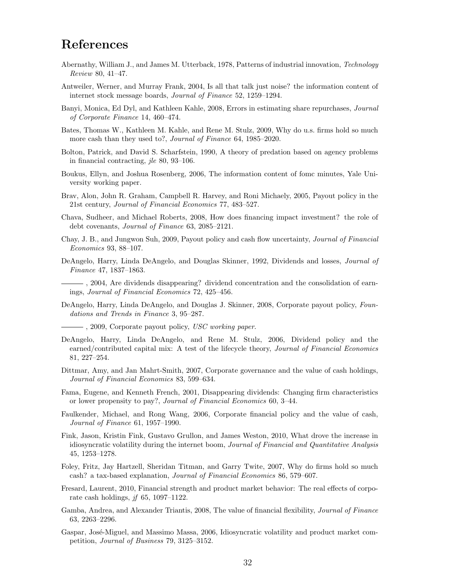### References

- Abernathy, William J., and James M. Utterback, 1978, Patterns of industrial innovation, Technology Review 80, 41–47.
- Antweiler, Werner, and Murray Frank, 2004, Is all that talk just noise? the information content of internet stock message boards, Journal of Finance 52, 1259–1294.
- Banyi, Monica, Ed Dyl, and Kathleen Kahle, 2008, Errors in estimating share repurchases, Journal of Corporate Finance 14, 460–474.
- Bates, Thomas W., Kathleen M. Kahle, and Rene M. Stulz, 2009, Why do u.s. firms hold so much more cash than they used to?, Journal of Finance 64, 1985–2020.
- Bolton, Patrick, and David S. Scharfstein, 1990, A theory of predation based on agency problems in financial contracting, jle 80, 93–106.
- Boukus, Ellyn, and Joshua Rosenberg, 2006, The information content of fomc minutes, Yale University working paper.
- Brav, Alon, John R. Graham, Campbell R. Harvey, and Roni Michaely, 2005, Payout policy in the 21st century, Journal of Financial Economics 77, 483–527.
- Chava, Sudheer, and Michael Roberts, 2008, How does financing impact investment? the role of debt covenants, Journal of Finance 63, 2085–2121.
- Chay, J. B., and Jungwon Suh, 2009, Payout policy and cash flow uncertainty, Journal of Financial Economics 93, 88–107.
- DeAngelo, Harry, Linda DeAngelo, and Douglas Skinner, 1992, Dividends and losses, Journal of Finance 47, 1837–1863.
- , 2004, Are dividends disappearing? dividend concentration and the consolidation of earnings, Journal of Financial Economics 72, 425–456.
- DeAngelo, Harry, Linda DeAngelo, and Douglas J. Skinner, 2008, Corporate payout policy, Foundations and Trends in Finance 3, 95–287.
- $-$ , 2009, Corporate payout policy, USC working paper.
- DeAngelo, Harry, Linda DeAngelo, and Rene M. Stulz, 2006, Dividend policy and the earned/contributed capital mix: A test of the lifecycle theory, *Journal of Financial Economics* 81, 227–254.
- Dittmar, Amy, and Jan Mahrt-Smith, 2007, Corporate governance and the value of cash holdings, Journal of Financial Economics 83, 599–634.
- Fama, Eugene, and Kenneth French, 2001, Disappearing dividends: Changing firm characteristics or lower propensity to pay?, Journal of Financial Economics 60, 3–44.
- Faulkender, Michael, and Rong Wang, 2006, Corporate financial policy and the value of cash, Journal of Finance 61, 1957–1990.
- Fink, Jason, Kristin Fink, Gustavo Grullon, and James Weston, 2010, What drove the increase in idiosyncratic volatility during the internet boom, Journal of Financial and Quantitative Analysis 45, 1253–1278.
- Foley, Fritz, Jay Hartzell, Sheridan Titman, and Garry Twite, 2007, Why do firms hold so much cash? a tax-based explanation, Journal of Financial Economics 86, 579–607.
- Fresard, Laurent, 2010, Financial strength and product market behavior: The real effects of corporate cash holdings,  $j\bar{f}$  65, 1097–1122.
- Gamba, Andrea, and Alexander Triantis, 2008, The value of financial flexibility, Journal of Finance 63, 2263–2296.
- Gaspar, José-Miguel, and Massimo Massa, 2006, Idiosyncratic volatility and product market competition, Journal of Business 79, 3125–3152.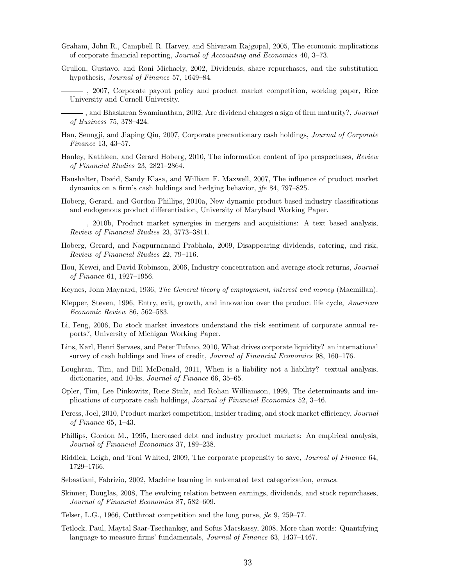- Graham, John R., Campbell R. Harvey, and Shivaram Rajgopal, 2005, The economic implications of corporate financial reporting, Journal of Accounting and Economics 40, 3–73.
- Grullon, Gustavo, and Roni Michaely, 2002, Dividends, share repurchases, and the substitution hypothesis, Journal of Finance 57, 1649–84.
	- , 2007, Corporate payout policy and product market competition, working paper, Rice University and Cornell University.
- $\rightarrow$ , and Bhaskaran Swaminathan, 2002, Are dividend changes a sign of firm maturity?, *Journal* of Business 75, 378–424.
- Han, Seungji, and Jiaping Qiu, 2007, Corporate precautionary cash holdings, Journal of Corporate Finance 13, 43–57.
- Hanley, Kathleen, and Gerard Hoberg, 2010, The information content of ipo prospectuses, Review of Financial Studies 23, 2821–2864.
- Haushalter, David, Sandy Klasa, and William F. Maxwell, 2007, The influence of product market dynamics on a firm's cash holdings and hedging behavior, jfe 84, 797–825.
- Hoberg, Gerard, and Gordon Phillips, 2010a, New dynamic product based industry classifications and endogenous product differentiation, University of Maryland Working Paper.
- , 2010b, Product market synergies in mergers and acquisitions: A text based analysis, Review of Financial Studies 23, 3773–3811.
- Hoberg, Gerard, and Nagpurnanand Prabhala, 2009, Disappearing dividends, catering, and risk, Review of Financial Studies 22, 79–116.
- Hou, Kewei, and David Robinson, 2006, Industry concentration and average stock returns, Journal of Finance 61, 1927–1956.
- Keynes, John Maynard, 1936, The General theory of employment, interest and money (Macmillan).
- Klepper, Steven, 1996, Entry, exit, growth, and innovation over the product life cycle, American Economic Review 86, 562–583.
- Li, Feng, 2006, Do stock market investors understand the risk sentiment of corporate annual reports?, University of Michigan Working Paper.
- Lins, Karl, Henri Servaes, and Peter Tufano, 2010, What drives corporate liquidity? an international survey of cash holdings and lines of credit, Journal of Financial Economics 98, 160-176.
- Loughran, Tim, and Bill McDonald, 2011, When is a liability not a liability? textual analysis, dictionaries, and 10-ks, Journal of Finance 66, 35–65.
- Opler, Tim, Lee Pinkowitz, Rene Stulz, and Rohan Williamson, 1999, The determinants and implications of corporate cash holdings, Journal of Financial Economics 52, 3–46.
- Peress, Joel, 2010, Product market competition, insider trading, and stock market efficiency, Journal of Finance 65, 1–43.
- Phillips, Gordon M., 1995, Increased debt and industry product markets: An empirical analysis, Journal of Financial Economics 37, 189–238.
- Riddick, Leigh, and Toni Whited, 2009, The corporate propensity to save, Journal of Finance 64, 1729–1766.
- Sebastiani, Fabrizio, 2002, Machine learning in automated text categorization, acmcs.
- Skinner, Douglas, 2008, The evolving relation between earnings, dividends, and stock repurchases, Journal of Financial Economics 87, 582–609.
- Telser, L.G., 1966, Cutthroat competition and the long purse, *jle* 9, 259–77.
- Tetlock, Paul, Maytal Saar-Tsechanksy, and Sofus Macskassy, 2008, More than words: Quantifying language to measure firms' fundamentals, Journal of Finance 63, 1437–1467.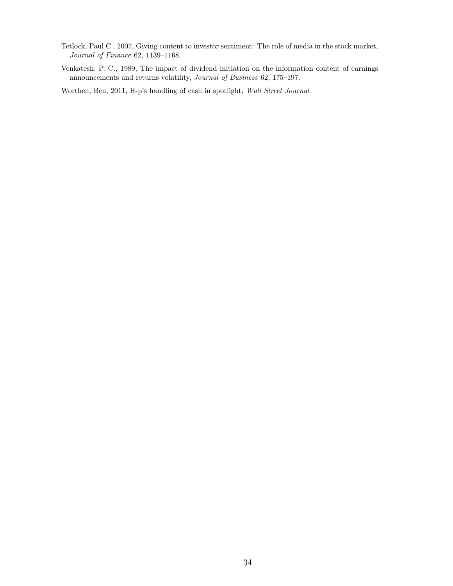- Tetlock, Paul C., 2007, Giving content to investor sentiment: The role of media in the stock market, Journal of Finance 62, 1139–1168.
- Venkatesh, P. C., 1989, The impact of dividend initiation on the information content of earnings announcements and returns volatility, Journal of Business 62, 175–197.

Worthen, Ben, 2011, H-p's handling of cash in spotlight, Wall Street Journal.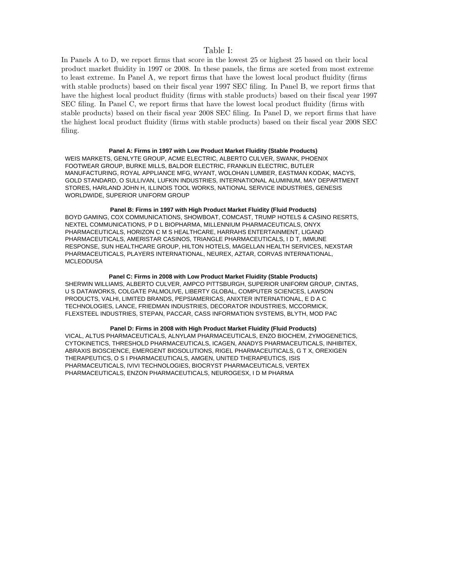### Table I:

In Panels A to D, we report firms that score in the lowest 25 or highest 25 based on their local product market fluidity in 1997 or 2008. In these panels, the firms are sorted from most extreme to least extreme. In Panel A, we report firms that have the lowest local product fluidity (firms with stable products) based on their fiscal year 1997 SEC filing. In Panel B, we report firms that have the highest local product fluidity (firms with stable products) based on their fiscal year 1997 SEC filing. In Panel C, we report firms that have the lowest local product fluidity (firms with stable products) based on their fiscal year 2008 SEC filing. In Panel D, we report firms that have the highest local product fluidity (firms with stable products) based on their fiscal year 2008 SEC filing.

### **Panel A: Firms in 1997 with Low Product Market Fluidity (Stable Products)**

WEIS MARKETS, GENLYTE GROUP, ACME ELECTRIC, ALBERTO CULVER, SWANK, PHOENIX FOOTWEAR GROUP, BURKE MILLS, BALDOR ELECTRIC, FRANKLIN ELECTRIC, BUTLER MANUFACTURING, ROYAL APPLIANCE MFG, WYANT, WOLOHAN LUMBER, EASTMAN KODAK, MACYS, GOLD STANDARD, O SULLIVAN, LUFKIN INDUSTRIES, INTERNATIONAL ALUMINUM, MAY DEPARTMENT STORES, HARLAND JOHN H, ILLINOIS TOOL WORKS, NATIONAL SERVICE INDUSTRIES, GENESIS WORLDWIDE, SUPERIOR UNIFORM GROUP

### **Panel B: Firms in 1997 with High Product Market Fluidity (Fluid Products)**

BOYD GAMING, COX COMMUNICATIONS, SHOWBOAT, COMCAST, TRUMP HOTELS & CASINO RESRTS, NEXTEL COMMUNICATIONS, P D L BIOPHARMA, MILLENNIUM PHARMACEUTICALS, ONYX PHARMACEUTICALS, HORIZON C M S HEALTHCARE, HARRAHS ENTERTAINMENT, LIGAND PHARMACEUTICALS, AMERISTAR CASINOS, TRIANGLE PHARMACEUTICALS, I D T, IMMUNE RESPONSE, SUN HEALTHCARE GROUP, HILTON HOTELS, MAGELLAN HEALTH SERVICES, NEXSTAR PHARMACEUTICALS, PLAYERS INTERNATIONAL, NEUREX, AZTAR, CORVAS INTERNATIONAL, **MCLEODUSA** 

### **Panel C: Firms in 2008 with Low Product Market Fluidity (Stable Products)**

SHERWIN WILLIAMS, ALBERTO CULVER, AMPCO PITTSBURGH, SUPERIOR UNIFORM GROUP, CINTAS, U S DATAWORKS, COLGATE PALMOLIVE, LIBERTY GLOBAL, COMPUTER SCIENCES, LAWSON PRODUCTS, VALHI, LIMITED BRANDS, PEPSIAMERICAS, ANIXTER INTERNATIONAL, E D A C TECHNOLOGIES, LANCE, FRIEDMAN INDUSTRIES, DECORATOR INDUSTRIES, MCCORMICK, FLEXSTEEL INDUSTRIES, STEPAN, PACCAR, CASS INFORMATION SYSTEMS, BLYTH, MOD PAC

### **Panel D: Firms in 2008 with High Product Market Fluidity (Fluid Products)**

VICAL, ALTUS PHARMACEUTICALS, ALNYLAM PHARMACEUTICALS, ENZO BIOCHEM, ZYMOGENETICS, CYTOKINETICS, THRESHOLD PHARMACEUTICALS, ICAGEN, ANADYS PHARMACEUTICALS, INHIBITEX, ABRAXIS BIOSCIENCE, EMERGENT BIOSOLUTIONS, RIGEL PHARMACEUTICALS, G T X, OREXIGEN THERAPEUTICS, O S I PHARMACEUTICALS, AMGEN, UNITED THERAPEUTICS, ISIS PHARMACEUTICALS, IVIVI TECHNOLOGIES, BIOCRYST PHARMACEUTICALS, VERTEX PHARMACEUTICALS, ENZON PHARMACEUTICALS, NEUROGESX, I D M PHARMA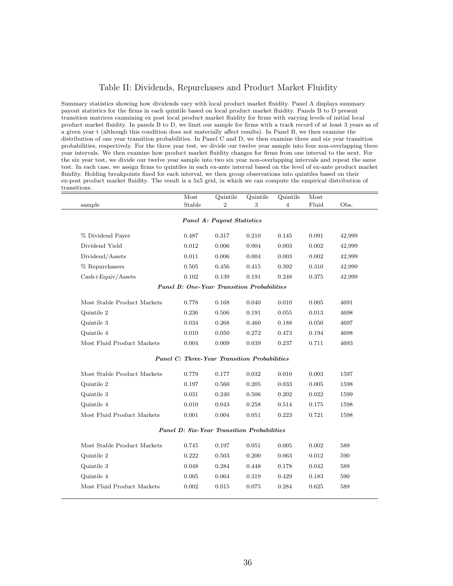### Table II: Dividends, Repurchases and Product Market Fluidity

Summary statistics showing how dividends vary with local product market fluidity. Panel A displays summary payout statistics for the firms in each quintile based on local product market fluidity. Panels B to D present transition matrices examining ex post local product market fluidity for firms with varying levels of initial local product market fluidity. In panels B to D, we limit our sample for firms with a track record of at least 3 years as of a given year t (although this condition does not materially affect results). In Panel B, we then examine the distribution of one year transition probabilities. In Panel C and D, we then examine three and six year transition probabilities, respectively. For the three year test, we divide our twelve year sample into four non-overlapping three year intervals. We then examine how product market fluidity changes for firms from one interval to the next. For the six year test, we divide our twelve year sample into two six year non-overlapping intervals and repeat the same test. In each case, we assign firms to quintiles in each ex-ante interval based on the level of ex-ante product market fluidity. Holding breakpoints fixed for each interval, we then group observations into quintiles based on their ex-post product market fluidity. The result is a 5x5 grid, in which we can compute the empirical distribution of transitions.  $=$ 

| sample                      | Most<br>Stable                                      | Quintile<br>$\overline{2}$ | Quintile<br>3 | Quintile<br>4 | Most<br>Fluid | Obs.   |
|-----------------------------|-----------------------------------------------------|----------------------------|---------------|---------------|---------------|--------|
|                             |                                                     |                            |               |               |               |        |
|                             |                                                     | Panel A: Payout Statistics |               |               |               |        |
| % Dividend Payer            | 0.487                                               | 0.317                      | 0.210         | 0.145         | 0.091         | 42,999 |
| Dividend Yield              | 0.012                                               | 0.006                      | 0.004         | 0.003         | 0.002         | 42,999 |
| Dividend/Assets             | 0.011                                               | 0.006                      | 0.004         | 0.003         | 0.002         | 42,999 |
| % Repurchasers              | 0.505                                               | 0.456                      | 0.415         | 0.392         | 0.310         | 42,999 |
| $Cash + Equiv/Assets$       | 0.102                                               | 0.139                      | 0.191         | 0.248         | 0.375         | 42,999 |
|                             | Panel B: One-Year Transition Probabilities          |                            |               |               |               |        |
| Most Stable Product Markets | 0.778                                               | 0.168                      | 0.040         | 0.010         | 0.005         | 4691   |
| Quintile 2                  | 0.236                                               | 0.506                      | 0.191         | 0.055         | 0.013         | 4698   |
| Quintile 3                  | 0.034                                               | 0.268                      | 0.460         | 0.188         | 0.050         | 4697   |
| Quintile 4                  | 0.010                                               | 0.050                      | 0.272         | 0.473         | 0.194         | 4698   |
| Most Fluid Product Markets  | 0.004                                               | 0.009                      | 0.039         | 0.237         | 0.711         | 4693   |
|                             | <b>Panel C: Three-Year Transition Probabilities</b> |                            |               |               |               |        |
| Most Stable Product Markets | 0.779                                               | 0.177                      | 0.032         | 0.010         | 0.003         | 1597   |
| Quintile 2                  | 0.197                                               | 0.560                      | 0.205         | 0.033         | 0.005         | 1598   |
| Quintile 3                  | 0.031                                               | 0.240                      | 0.506         | 0.202         | 0.022         | 1599   |
| Quintile 4                  | 0.010                                               | 0.043                      | 0.258         | 0.514         | 0.175         | 1598   |
| Most Fluid Product Markets  | 0.001                                               | 0.004                      | 0.051         | 0.223         | 0.721         | 1598   |
|                             | Panel D: Six-Year Transition Probabilities          |                            |               |               |               |        |
| Most Stable Product Markets | 0.745                                               | 0.197                      | 0.051         | 0.005         | 0.002         | 589    |
| Quintile 2                  | 0.222                                               | 0.503                      | 0.200         | 0.063         | 0.012         | 590    |
| Quintile 3                  | 0.048                                               | 0.284                      | 0.448         | 0.178         | 0.042         | 589    |
| Quintile 4                  | 0.005                                               | 0.064                      | 0.319         | 0.429         | 0.183         | 590    |
| Most Fluid Product Markets  | 0.002                                               | 0.015                      | 0.075         | 0.284         | 0.625         | 589    |
|                             |                                                     |                            |               |               |               |        |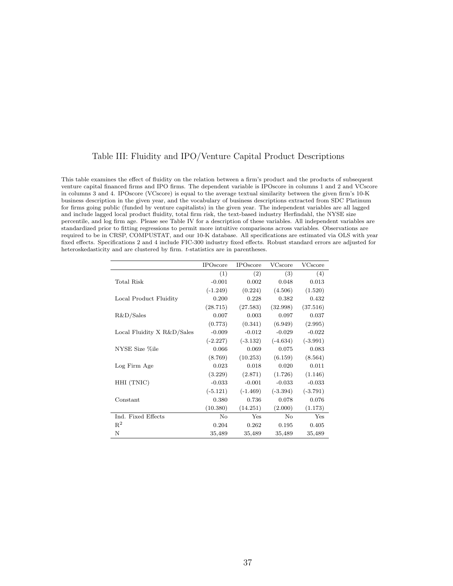### Table III: Fluidity and IPO/Venture Capital Product Descriptions

This table examines the effect of fluidity on the relation between a firm's product and the products of subsequent venture capital financed firms and IPO firms. The dependent variable is IPOscore in columns 1 and 2 and VCscore in columns 3 and 4. IPOscore (VCscore) is equal to the average textual similarity between the given firm's 10-K business description in the given year, and the vocabulary of business descriptions extracted from SDC Platinum for firms going public (funded by venture capitalists) in the given year. The independent variables are all lagged and include lagged local product fluidity, total firm risk, the text-based industry Herfindahl, the NYSE size percentile, and log firm age. Please see Table IV for a description of these variables. All independent variables are standardized prior to fitting regressions to permit more intuitive comparisons across variables. Observations are required to be in CRSP, COMPUSTAT, and our 10-K database. All specifications are estimated via OLS with year fixed effects. Specifications 2 and 4 include FIC-300 industry fixed effects. Robust standard errors are adjusted for heteroskedasticity and are clustered by firm. t-statistics are in parentheses.

|                            | <b>IPOscore</b> | <b>IPOscore</b> | VCscore    | VCscore    |
|----------------------------|-----------------|-----------------|------------|------------|
|                            | (1)             | (2)             | (3)        | (4)        |
| Total Risk                 | $-0.001$        | 0.002           | 0.048      | 0.013      |
|                            | $(-1.249)$      | (0.224)         | (4.506)    | (1.520)    |
| Local Product Fluidity     | 0.200           | 0.228           | 0.382      | 0.432      |
|                            | (28.715)        | (27.583)        | (32.998)   | (37.516)   |
| R&D/Sales                  | 0.007           | 0.003           | 0.097      | 0.037      |
|                            | (0.773)         | (0.341)         | (6.949)    | (2.995)    |
| Local Fluidity X R&D/Sales | $-0.009$        | $-0.012$        | $-0.029$   | $-0.022$   |
|                            | $(-2.227)$      | $(-3.132)$      | $(-4.634)$ | $(-3.991)$ |
| NYSE Size %ile             | 0.066           | 0.069           | 0.075      | 0.083      |
|                            | (8.769)         | (10.253)        | (6.159)    | (8.564)    |
| Log Firm Age               | 0.023           | 0.018           | 0.020      | 0.011      |
|                            | (3.229)         | (2.871)         | (1.726)    | (1.146)    |
| HHI (TNIC)                 | $-0.033$        | $-0.001$        | $-0.033$   | $-0.033$   |
|                            | $(-5.121)$      | $(-1.469)$      | $(-3.394)$ | $(-3.791)$ |
| Constant                   | 0.380           | 0.736           | 0.078      | 0.076      |
|                            | (10.380)        | (14.251)        | (2.000)    | (1.173)    |
| Ind. Fixed Effects         | No              | Yes             | $\rm No$   | Yes        |
| $\mathbb{R}^2$             | 0.204           | 0.262           | 0.195      | 0.405      |
| Ν                          | 35,489          | 35,489          | 35,489     | 35,489     |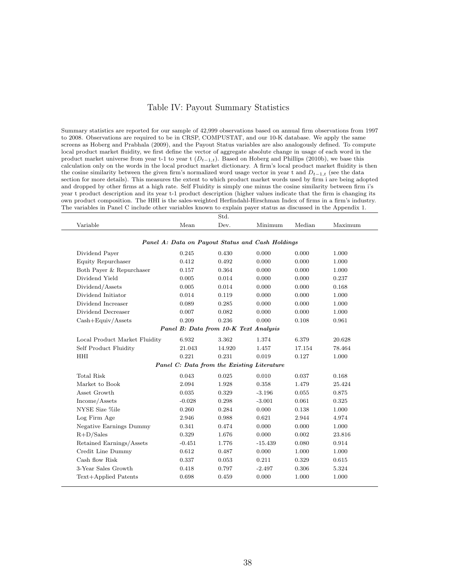### Table IV: Payout Summary Statistics

Summary statistics are reported for our sample of 42,999 observations based on annual firm observations from 1997 to 2008. Observations are required to be in CRSP, COMPUSTAT, and our 10-K database. We apply the same screens as Hoberg and Prabhala (2009), and the Payout Status variables are also analogously defined. To compute local product market fluidity, we first define the vector of aggregate absolute change in usage of each word in the product market universe from year t-1 to year t  $(D_{t-1,t})$ . Based on Hoberg and Phillips (2010b), we base this calculation only on the words in the local product market dictionary. A firm's local product market fluidity is then the cosine similarity between the given firm's normalized word usage vector in year t and  $D_{t-1,t}$  (see the data section for more details). This measures the extent to which product market words used by firm i are being adopted and dropped by other firms at a high rate. Self Fluidity is simply one minus the cosine similarity between firm i's year t product description and its year t-1 product description (higher values indicate that the firm is changing its own product composition. The HHI is the sales-weighted Herfindahl-Hirschman Index of firms in a firm's industry. The variables in Panel C include other variables known to explain payer status as discussed in the Appendix 1.

 $\overline{C}$ 

|                               |          | wuu.                                  |                                                  |        |         |
|-------------------------------|----------|---------------------------------------|--------------------------------------------------|--------|---------|
| Variable                      | Mean     | Dev.                                  | Minimum                                          | Median | Maximum |
|                               |          |                                       |                                                  |        |         |
|                               |          |                                       | Panel A: Data on Payout Status and Cash Holdings |        |         |
| Dividend Payer                | 0.245    | 0.430                                 | 0.000                                            | 0.000  | 1.000   |
| Equity Repurchaser            | 0.412    | 0.492                                 | 0.000                                            | 0.000  | 1.000   |
| Both Payer & Repurchaser      | 0.157    | 0.364                                 | 0.000                                            | 0.000  | 1.000   |
| Dividend Yield                | 0.005    | 0.014                                 | 0.000                                            | 0.000  | 0.237   |
| Dividend/Assets               | 0.005    | 0.014                                 | 0.000                                            | 0.000  | 0.168   |
| Dividend Initiator            | 0.014    | 0.119                                 | 0.000                                            | 0.000  | 1.000   |
| Dividend Increaser            | 0.089    | 0.285                                 | 0.000                                            | 0.000  | 1.000   |
| Dividend Decreaser            | 0.007    | 0.082                                 | 0.000                                            | 0.000  | 1.000   |
| $Cash + Equiv/Assets$         | 0.209    | 0.236                                 | 0.000                                            | 0.108  | 0.961   |
|                               |          | Panel B: Data from 10-K Text Analysis |                                                  |        |         |
| Local Product Market Fluidity | 6.932    | 3.362                                 | 1.374                                            | 6.379  | 20.628  |
| Self Product Fluidity         | 21.043   | 14.920                                | 1.457                                            | 17.154 | 78.464  |
| <b>HHI</b>                    | 0.221    | 0.231                                 | 0.019                                            | 0.127  | 1.000   |
|                               |          |                                       | Panel C: Data from the Existing Literature       |        |         |
| <b>Total Risk</b>             | 0.043    | 0.025                                 | 0.010                                            | 0.037  | 0.168   |
| Market to Book                | 2.094    | 1.928                                 | 0.358                                            | 1.479  | 25.424  |
| Asset Growth                  | 0.035    | 0.329                                 | $-3.196$                                         | 0.055  | 0.875   |
| Income/Assets                 | $-0.028$ | 0.298                                 | $-3.001$                                         | 0.061  | 0.325   |
| NYSE Size %ile                | 0.260    | 0.284                                 | 0.000                                            | 0.138  | 1.000   |
| Log Firm Age                  | 2.946    | 0.988                                 | 0.621                                            | 2.944  | 4.974   |
| Negative Earnings Dummy       | 0.341    | 0.474                                 | 0.000                                            | 0.000  | 1.000   |
| $R+D/Sales$                   | 0.329    | 1.676                                 | 0.000                                            | 0.002  | 23.816  |
| Retained Earnings/Assets      | $-0.451$ | 1.776                                 | $-15.439$                                        | 0.080  | 0.914   |
| Credit Line Dummy             | 0.612    | 0.487                                 | 0.000                                            | 1.000  | 1.000   |
| Cash flow Risk                | 0.337    | 0.053                                 | 0.211                                            | 0.329  | 0.615   |
| 3-Year Sales Growth           | 0.418    | 0.797                                 | $-2.497$                                         | 0.306  | 5.324   |
| Text+Applied Patents          | 0.698    | 0.459                                 | 0.000                                            | 1.000  | 1.000   |
|                               |          |                                       |                                                  |        |         |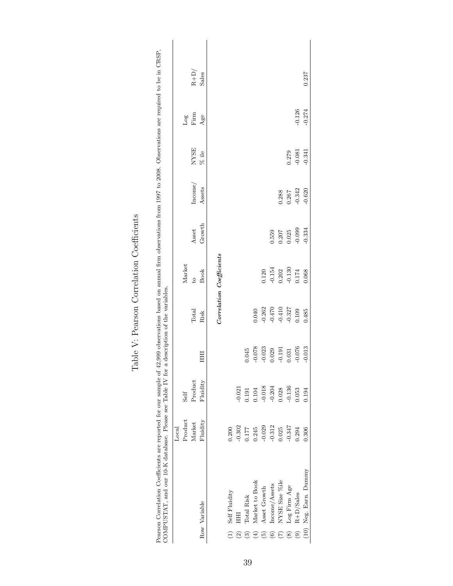| Pearson Correlation Coefficients are reported for our sample of<br>COMPUSTAT, and our 10-K database. Please see Table IV for |                |          |          | a description of the variables. |                          |          |          |             |                                                                                                                                                                                                                                                                                                                                                                                                                                                                                                                                                                                           | $42,999$ observations based on annual firm observations from 1997 to 2008. Observations are required to be in CRSP, |
|------------------------------------------------------------------------------------------------------------------------------|----------------|----------|----------|---------------------------------|--------------------------|----------|----------|-------------|-------------------------------------------------------------------------------------------------------------------------------------------------------------------------------------------------------------------------------------------------------------------------------------------------------------------------------------------------------------------------------------------------------------------------------------------------------------------------------------------------------------------------------------------------------------------------------------------|---------------------------------------------------------------------------------------------------------------------|
|                                                                                                                              | $_{\rm Local}$ |          |          |                                 |                          |          |          |             |                                                                                                                                                                                                                                                                                                                                                                                                                                                                                                                                                                                           |                                                                                                                     |
|                                                                                                                              | Product        | Self     |          |                                 | Market                   |          |          |             | Log                                                                                                                                                                                                                                                                                                                                                                                                                                                                                                                                                                                       |                                                                                                                     |
|                                                                                                                              | Market         | Product  |          | Total                           | $\overline{c}$           | Asset    | Incone/  | <b>NYSE</b> | $\operatorname*{Firm}% \left( X\right) \equiv\operatorname*{Firm}% \left( X\right) \equiv\operatorname*{Fern}% \left( X\right) \equiv\operatorname*{Fern}% \left( X\right) \equiv\operatorname*{Fern}% \left( X\right) \equiv\operatorname*{Fern}% \left( X\right) \equiv\operatorname*{Fern}% \left( X\right) \equiv\operatorname*{Fern}% \left( X\right) \equiv\operatorname*{Fern}% \left( X\right) \equiv\operatorname*{Fern}% \left( X\right) \equiv\operatorname*{Fern}% \left( X\right) \equiv\operatorname*{Fern}% \left( X\right) \equiv\operatorname*{Fern}% \left( X\right) \$ | $R + D/$                                                                                                            |
| Row Variable                                                                                                                 | Fluidity       | Fluidity | 臣        | Risk                            | <b>Book</b>              | Growth   | Assets   | $%$ ile     | Age                                                                                                                                                                                                                                                                                                                                                                                                                                                                                                                                                                                       | Sales                                                                                                               |
|                                                                                                                              |                |          |          |                                 |                          |          |          |             |                                                                                                                                                                                                                                                                                                                                                                                                                                                                                                                                                                                           |                                                                                                                     |
|                                                                                                                              |                |          |          |                                 | Correlation Coefficients |          |          |             |                                                                                                                                                                                                                                                                                                                                                                                                                                                                                                                                                                                           |                                                                                                                     |
| Self Fluidity                                                                                                                | 0.200          |          |          |                                 |                          |          |          |             |                                                                                                                                                                                                                                                                                                                                                                                                                                                                                                                                                                                           |                                                                                                                     |
| 三                                                                                                                            | $-0.302$       | $-0.021$ |          |                                 |                          |          |          |             |                                                                                                                                                                                                                                                                                                                                                                                                                                                                                                                                                                                           |                                                                                                                     |
| Total Risk<br>ධි                                                                                                             | 0.177          | 0.191    | 0.045    |                                 |                          |          |          |             |                                                                                                                                                                                                                                                                                                                                                                                                                                                                                                                                                                                           |                                                                                                                     |
| Market to Book                                                                                                               | 0.245          | 0.104    | $-0.078$ | 0.040                           |                          |          |          |             |                                                                                                                                                                                                                                                                                                                                                                                                                                                                                                                                                                                           |                                                                                                                     |
| Asset Growth<br>$\widehat{5}$                                                                                                | $-0.029$       | $-0.018$ | $-0.023$ | $-0.262$                        | 0.120                    |          |          |             |                                                                                                                                                                                                                                                                                                                                                                                                                                                                                                                                                                                           |                                                                                                                     |
| Income/Assets<br>$\widehat{\circ}$                                                                                           | $-0.312$       | $-0.204$ | 0.029    | $-0.470$                        | $-0.154$                 | 0.559    |          |             |                                                                                                                                                                                                                                                                                                                                                                                                                                                                                                                                                                                           |                                                                                                                     |
| NYSE Size %ile                                                                                                               | 0.25           | 0.028    | $-0.191$ | $-0.410$                        | 0.202                    | 0.207    | 0.288    |             |                                                                                                                                                                                                                                                                                                                                                                                                                                                                                                                                                                                           |                                                                                                                     |
| Log Firm Age<br>$\circledast$                                                                                                | $-0.347$       | $-0.136$ | 0.031    | $-0.327$                        | $-0.130$                 | 0.025    | 0.267    | 0.279       |                                                                                                                                                                                                                                                                                                                                                                                                                                                                                                                                                                                           |                                                                                                                     |
| $R+D/Sales$<br>$\widehat{e}$                                                                                                 | 0.294          | 0.053    | $-0.076$ | 0.109                           | 0.174                    | $-0.099$ | $-0.342$ | $-0.081$    | $-0.126$                                                                                                                                                                                                                                                                                                                                                                                                                                                                                                                                                                                  |                                                                                                                     |
| (10) Neg. Earn. Dummy                                                                                                        | 0.306          | 0.194    | $-0.013$ | 0.485                           | 0.068                    | $-0.334$ | $-0.620$ | $-0.341$    | $-0.274$                                                                                                                                                                                                                                                                                                                                                                                                                                                                                                                                                                                  | 0.237                                                                                                               |
|                                                                                                                              |                |          |          |                                 |                          |          |          |             |                                                                                                                                                                                                                                                                                                                                                                                                                                                                                                                                                                                           |                                                                                                                     |

## Table V: Pearson Correlation Coefficients Table V: Pearson Correlation Coefficients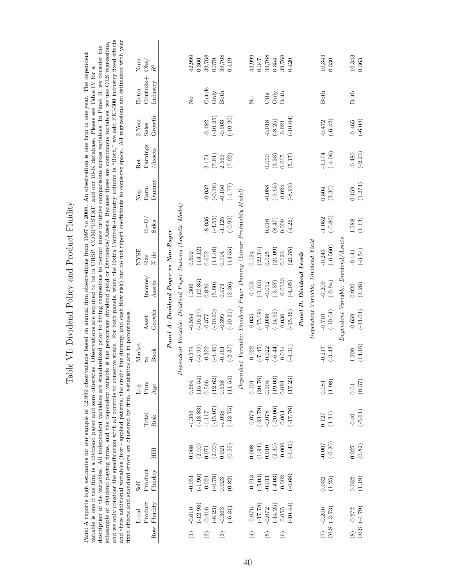|                                                                                                                                                                                                                                                                                                                                                                                                                                                                                                                                                                                                                                                                                                                                                                                                                                                                                                                                                                                                                                                                                                                                                                                                                                        | Num.<br>Obs/<br>$\mathbb{R}^2$                                                                                                                                                                                                                                                                                                                                                                                                                                                                                                                                                                          |                                      |                                                           | 42,999<br>0.360        | 39,768                         | 0.379      | 39,768<br>0.419            |                                                 | 42,999                  | 39,768<br>0.347                      | 0.354              | 39,768<br>0.420                   |                          |                                    | 10,343<br>0.330                                                      |                                     | 10,343<br>0.363                        |
|----------------------------------------------------------------------------------------------------------------------------------------------------------------------------------------------------------------------------------------------------------------------------------------------------------------------------------------------------------------------------------------------------------------------------------------------------------------------------------------------------------------------------------------------------------------------------------------------------------------------------------------------------------------------------------------------------------------------------------------------------------------------------------------------------------------------------------------------------------------------------------------------------------------------------------------------------------------------------------------------------------------------------------------------------------------------------------------------------------------------------------------------------------------------------------------------------------------------------------------|---------------------------------------------------------------------------------------------------------------------------------------------------------------------------------------------------------------------------------------------------------------------------------------------------------------------------------------------------------------------------------------------------------------------------------------------------------------------------------------------------------------------------------------------------------------------------------------------------------|--------------------------------------|-----------------------------------------------------------|------------------------|--------------------------------|------------|----------------------------|-------------------------------------------------|-------------------------|--------------------------------------|--------------------|-----------------------------------|--------------------------|------------------------------------|----------------------------------------------------------------------|-------------------------------------|----------------------------------------|
|                                                                                                                                                                                                                                                                                                                                                                                                                                                                                                                                                                                                                                                                                                                                                                                                                                                                                                                                                                                                                                                                                                                                                                                                                                        | Controls+<br>Industry<br>Extra                                                                                                                                                                                                                                                                                                                                                                                                                                                                                                                                                                          |                                      |                                                           | $\overline{z}$         | Cntrls                         | Only       | Both                       |                                                 | $\overline{\mathsf{S}}$ | Ctls                                 | $\mathrm{Only}$    | <b>Both</b>                       |                          |                                    | <b>Both</b>                                                          |                                     | Both                                   |
|                                                                                                                                                                                                                                                                                                                                                                                                                                                                                                                                                                                                                                                                                                                                                                                                                                                                                                                                                                                                                                                                                                                                                                                                                                        | Growth<br>$3-Year$<br>Sales                                                                                                                                                                                                                                                                                                                                                                                                                                                                                                                                                                             |                                      |                                                           |                        | $-0.482$                       | $(-10.25)$ | $(-10.20)$<br>$-0.503$     |                                                 |                         | $-0.018$                             | $(-8.25)$          | $(-10.04)$<br>$-0.021$            |                          |                                    | $(-6.42)$<br>$-0.472$                                                |                                     | $(-6.04)$<br>$-0.465$                  |
|                                                                                                                                                                                                                                                                                                                                                                                                                                                                                                                                                                                                                                                                                                                                                                                                                                                                                                                                                                                                                                                                                                                                                                                                                                        | Earnings<br>Assets<br>Ret                                                                                                                                                                                                                                                                                                                                                                                                                                                                                                                                                                               |                                      |                                                           |                        | $2.174\,$                      | (7.61)     | (7.92)<br>2.559            |                                                 |                         | $0.010\,$                            | (3.33)             | (5.17)<br>0.015                   |                          |                                    | $(-4.06)$<br>$\textbf{-1.174}$                                       |                                     | $(-2.23)$<br>$-0.480$                  |
|                                                                                                                                                                                                                                                                                                                                                                                                                                                                                                                                                                                                                                                                                                                                                                                                                                                                                                                                                                                                                                                                                                                                                                                                                                        | Dunnny<br>Earn.<br>Neg.                                                                                                                                                                                                                                                                                                                                                                                                                                                                                                                                                                                 |                                      |                                                           |                        | $-0.032$                       | $(-0.36)$  | $(-1.77)$<br>$-0.156$      |                                                 |                         | $-0.058$                             | $(-9.65)$          | $(-8.93)$<br>$-0.024$             |                          |                                    | (3.30)<br>0.504                                                      |                                     | (1.274)<br>0.159                       |
|                                                                                                                                                                                                                                                                                                                                                                                                                                                                                                                                                                                                                                                                                                                                                                                                                                                                                                                                                                                                                                                                                                                                                                                                                                        | $R + D$<br>Sales                                                                                                                                                                                                                                                                                                                                                                                                                                                                                                                                                                                        |                                      |                                                           |                        | $-8.036$                       | $(-4.55)$  | $(-0.95)$<br>$-1.125$      | Dividend Payer Dummy (Linear Probability Model) |                         | 0.016                                | (8.47)             | (4.26)<br>0.009                   |                          |                                    | $(-0.80)$<br>$-1.052$                                                |                                     | (1.13)<br>1.588                        |
|                                                                                                                                                                                                                                                                                                                                                                                                                                                                                                                                                                                                                                                                                                                                                                                                                                                                                                                                                                                                                                                                                                                                                                                                                                        | <b>NYSE</b><br>$\%$ ile<br>Size                                                                                                                                                                                                                                                                                                                                                                                                                                                                                                                                                                         | Panel A: Dividend Payer vs Non-Payer |                                                           | (14.12)<br>0.602       | 0.652                          | (14.46)    | (14.55)<br>0.704           |                                                 | 0.124                   | (22.14)<br>0.125                     | (21.09)            | (21.35)<br>0.123                  |                          |                                    | $(-6.560)$<br>$-0.243$                                               | Dependent Variable: Dividend/Assets | $(-3.54)$<br>$-0.141$                  |
|                                                                                                                                                                                                                                                                                                                                                                                                                                                                                                                                                                                                                                                                                                                                                                                                                                                                                                                                                                                                                                                                                                                                                                                                                                        | Income<br>Assets                                                                                                                                                                                                                                                                                                                                                                                                                                                                                                                                                                                        |                                      |                                                           | (12.85)<br>1.306       | 0.826                          | (5.60)     | (3.36)<br>0.473            |                                                 | $-0.003$                | $(-1.03)$<br>$-0.012$                | $(-3.37)$          | $-0.0133$<br>$(-4.05)$            | Panel B: Dividend Levels |                                    | $(-0.94)$<br>$-0.209$                                                |                                     | (4.28)<br>0.920                        |
|                                                                                                                                                                                                                                                                                                                                                                                                                                                                                                                                                                                                                                                                                                                                                                                                                                                                                                                                                                                                                                                                                                                                                                                                                                        | Growth<br>Asset                                                                                                                                                                                                                                                                                                                                                                                                                                                                                                                                                                                         |                                      |                                                           | $(-16.27)$<br>$-0.554$ | $-0.377$                       | $(-10.60)$ | $(-10.21)$<br>$-0.395$     |                                                 | $-0.035$                | $(-15.19)$<br>$-0.036$               | $(-14.92)$         | $(-15.36)$<br>$-0.036$            |                          | Dependent Variable: Dividend Yield | $(-10.04)$<br>$-0.710$                                               |                                     | $(-11.04)$<br>$-0.659$                 |
|                                                                                                                                                                                                                                                                                                                                                                                                                                                                                                                                                                                                                                                                                                                                                                                                                                                                                                                                                                                                                                                                                                                                                                                                                                        | Market<br><b>Book</b><br>$\overline{c}$                                                                                                                                                                                                                                                                                                                                                                                                                                                                                                                                                                 |                                      | Dependent Variable: Dividend Payer Dummy (Logistic Model) | $(-5.99)$<br>$-0.374$  | $-0.322$                       | $(-4.46)$  | $(-2.37)$<br>$-0.161$      | Dependent Variable:                             | $-0.022$                | $(-7.45)$<br>$-0.022$                | $(-6.44)$          | $(-4.31)$<br>$-0.014$             |                          |                                    | $(-3.43)$<br>$-0.217$                                                |                                     | (14.16)<br>1.209                       |
|                                                                                                                                                                                                                                                                                                                                                                                                                                                                                                                                                                                                                                                                                                                                                                                                                                                                                                                                                                                                                                                                                                                                                                                                                                        | $\operatorname*{Firm}% \left( X\right) \equiv\operatorname*{Firm}% \left( X\right) \equiv\operatorname*{Fern}% \left( X\right) \equiv\operatorname*{Fern}% \left( X\right) \equiv\operatorname*{Fern}% \left( X\right) \equiv\operatorname*{Fern}% \left( X\right) \equiv\operatorname*{Fern}% \left( X\right) \equiv\operatorname*{Fern}% \left( X\right) \equiv\operatorname*{Fern}% \left( X\right) \equiv\operatorname*{Fern}% \left( X\right) \equiv\operatorname*{Fern}% \left( X\right) \equiv\operatorname*{Fern}% \left( X\right) \equiv\operatorname*{Fern}% \left( X\right) \$<br>Log<br>Age |                                      |                                                           | (15.54)<br>0.664       | 0.566                          | (12.62)    | (11.54)<br>0.538           |                                                 | 0.101                   | (20.76)<br>0.104                     | (19.03)            | (17.23)<br>0.091                  |                          |                                    | (1.98)<br>0.081                                                      |                                     | (0.37)<br>$0.01\,$                     |
|                                                                                                                                                                                                                                                                                                                                                                                                                                                                                                                                                                                                                                                                                                                                                                                                                                                                                                                                                                                                                                                                                                                                                                                                                                        | Total<br>Risk                                                                                                                                                                                                                                                                                                                                                                                                                                                                                                                                                                                           |                                      |                                                           | $(-18.83)$<br>$-1.359$ | $-1.117$                       | $(-15.07)$ | $(-13.75)$<br>$-1.038$     |                                                 | $-0.079$                | $(-21.79)$<br>$-0.078$               | $(-20.06)$         | $(-17.76)$<br>0.064               |                          |                                    | (1.31)<br>$0.127\,$                                                  |                                     | $(-5.61)$<br>$-0.40$                   |
|                                                                                                                                                                                                                                                                                                                                                                                                                                                                                                                                                                                                                                                                                                                                                                                                                                                                                                                                                                                                                                                                                                                                                                                                                                        | HН                                                                                                                                                                                                                                                                                                                                                                                                                                                                                                                                                                                                      |                                      |                                                           | 0.068                  | (2.00)<br>$0.071\,$            | (2.00)     | (0.55)<br>0.021            |                                                 | 0.008                   | (1.94)<br>0.010                      | $(2.30)$<br>-0.006 | $(-1.41)$                         |                          |                                    | $(-0.20)$<br>$-0.007$                                                |                                     | (0.82)<br>0.027                        |
|                                                                                                                                                                                                                                                                                                                                                                                                                                                                                                                                                                                                                                                                                                                                                                                                                                                                                                                                                                                                                                                                                                                                                                                                                                        | Product<br>Fluidity<br>Self                                                                                                                                                                                                                                                                                                                                                                                                                                                                                                                                                                             |                                      |                                                           | $(-1.96)$<br>$-0.051$  | $-0.021$                       | $(-0.78)$  | (0.82)<br>0.023            |                                                 | $-0.013$                | $(-5.03)$<br>$-0.011$                | $(-4.03)$          | $(-0.68)$<br>$-0.002$             |                          |                                    | (1.25)<br>0.032                                                      |                                     | (1.19)<br>0.032                        |
| and we only consider the specification with all controls to conserve space. For both panels, when the Extra Controls+Industry column is "Both," we add FIC-300 industry fixed effects<br>and three additional variables (text+applied patents, the credit line dummy, and cash flow risk) but do not report coefficients to conserve space. All regressions are estimated with year<br>subsample of dividend paying firms, and the dependent variable is the percentage dividend yield or Dividends/Assets. Because these are continuous variables, we use OLS regressions,<br>description of the variables. All independent variables are standardized prior to fitting regressions to permit more intuitive comparisons across variables. In Panel B, we consider the<br>Panel A reports logit estimates for our sample of 42,999 observations based on annual firm observations from 1997 to 2008. An observation is one firm in one year. The dependent<br>variable is one if the firm is a dividend payer and zero otherwise. Observations are required to be in CRSP, COMPUSTAT, and our 10-K database. Please see Table IV for a<br>fixed effects and standard errors are clustered by firm. $t$ -statistics are in parentheses | Product<br>Row Fluidity<br>Local                                                                                                                                                                                                                                                                                                                                                                                                                                                                                                                                                                        |                                      |                                                           | $(-12.98)$<br>$-0.610$ | $-0.416$<br>$\widehat{\Omega}$ | $(-8.23)$  | $(-6.31)$<br>$-0.363$<br>ි |                                                 | $-0.076$<br>$\bigoplus$ | (57.71)<br>$-0.072$<br>$\widehat{5}$ | $(-14.25)$         | $(-10.44)$<br>$-0.055$<br>$\odot$ |                          |                                    | $\begin{array}{cc} (7) & -0.206 \\ \text{OLS} & (-3.73) \end{array}$ |                                     | (61.4.79)<br>$-0.272$<br>$\circledast$ |

# Table VI: Dividend Policy and Product Fluidity Table VI: Dividend Policy and Product Fluidity

40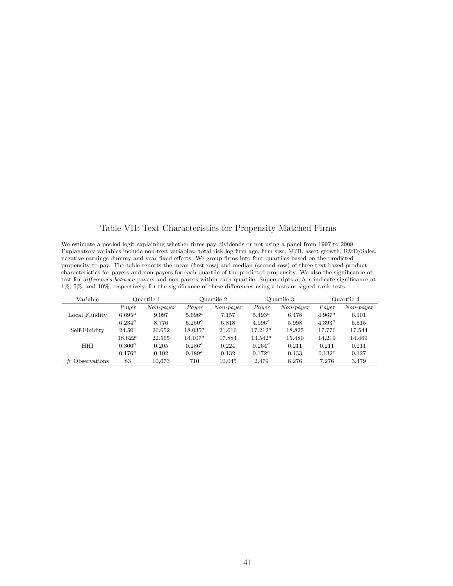### Table VII: Text Characteristics for Propensity Matched Firms

We estimate a pooled logit explaining whether firms pay dividends or not using a panel from 1997 to 2008. Explanatory variables include non-text variables: total risk log firm age, firm size, M/B, asset growth, R&D/Sales, negative earnings dummy and year fixed effects. We group firms into four quartiles based on the predicted propensity to pay. The table reports the mean (first row) and median (second row) of three text-based product characteristics for payers and non-payers for each quartile of the predicted propensity. We also the significance of test for differences between payers and non-payers within each quartile. Superscripts a, b, c indicate significance at 1%, 5%, and 10%, respectively, for the significance of these differences using t-tests or signed rank tests.

| Variable          |                 | Quartile 1  |             | Quartile 2  |            | Quartile 3  |           | Quartile 4  |
|-------------------|-----------------|-------------|-------------|-------------|------------|-------------|-----------|-------------|
|                   | Payer           | $Non-payer$ | Payer       | $Non-payer$ | Payer      | $Non-payer$ | Payer     | $Non-payer$ |
| Local Fluidity    | $6.695^{\rm a}$ | 9.097       | $5.696^a$   | 7.157       | $5.493^a$  | 6.478       | $4.967^a$ | 6.101       |
|                   | $6.234^{\circ}$ | 8.776       | $5.250^a$   | 6.818       | $4.996^a$  | 5.998       | $4.393^a$ | 5.515       |
| Self-Fluidity     | 24.501          | 26.652      | $18.035^a$  | 21.616      | $17.212^a$ | 18.825      | 17.776    | 17.544      |
|                   | $18.622^c$      | 22.565      | $14.107^a$  | 17.884      | $13.542^a$ | 15.480      | 14.219    | 14.469      |
| <b>HHI</b>        | $0.300^{a}$     | 0.205       | $0.286^a$   | 0.224       | $0.264^a$  | 0.211       | 0.211     | 0.211       |
|                   | $0.176^{a}$     | 0.102       | $0.189^{a}$ | 0.132       | $0.172^a$  | 0.133       | $0.132^c$ | 0.127       |
| $\#$ Observations | 83              | 10.673      | 710         | 10.045      | 2.479      | 8.276       | 7.276     | 3.479       |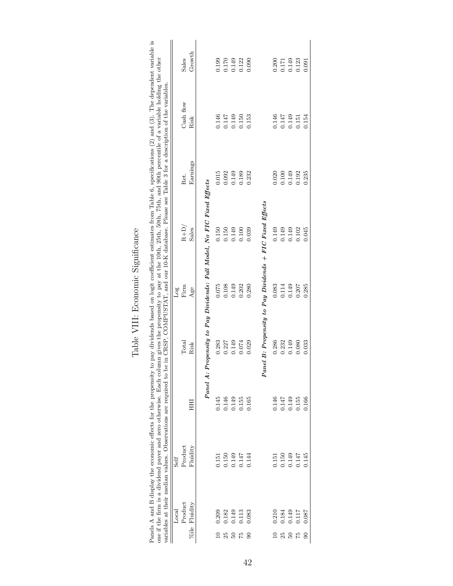| Panels A and B display the economic effects for the propensity to pay dividends based on logit coefficient estimates from Table 6, specifications $(2)$ and $(3)$ . The dependent variable is<br>one if the firm is a dividend payer and zero otherwise. Each column gives the propensity to pay at the 10th, 25th, 50th, 75th, and 90th percentile of a variable holding the other<br>be in CRSP, COMPUSTAT, and our 10-K database. Please see Table 3 for a description of the variables. | Growth<br>Sales<br>Cash flow<br>Risk<br>Earnings<br>Ret.<br>Propensity to Pay Dividends: Full Model, No FIC Fixed Effects<br>$R + D/$<br>Sales<br>Firm<br>Age<br>Por<br>Total<br>Risk | 0.199<br>0.170<br>0.146<br>0.147<br>0.015<br>0.092<br>0.150<br>0.150<br>0.075<br>0.108<br>0.283<br>0.227 | 0.149<br>0.122<br>0.090<br>0.149<br>0.150<br>0.153<br>0.149<br>0.189<br>0.232<br>0.149<br>0.039<br>0.100<br>0.280<br>0.149<br>0.202<br>0.149<br>0.074<br>0.029 | 0.200<br>0.146<br>0.020<br>Panel B: Propensity to Pay Dividends $+$ FIC Fixed Effects<br>0.149<br>0.083<br>0.286 | 0.149<br>0.171<br>0.147<br>0.149<br>0.149<br>0.100<br>0.149<br>0.149<br>0.114<br>0.149<br>0.232<br>0.149 | 0.123<br>0.091<br>0.154<br>0.151<br>0.235<br>0.192<br>0.102<br>0.207<br>0.080 |
|---------------------------------------------------------------------------------------------------------------------------------------------------------------------------------------------------------------------------------------------------------------------------------------------------------------------------------------------------------------------------------------------------------------------------------------------------------------------------------------------|---------------------------------------------------------------------------------------------------------------------------------------------------------------------------------------|----------------------------------------------------------------------------------------------------------|----------------------------------------------------------------------------------------------------------------------------------------------------------------|------------------------------------------------------------------------------------------------------------------|----------------------------------------------------------------------------------------------------------|-------------------------------------------------------------------------------|
|                                                                                                                                                                                                                                                                                                                                                                                                                                                                                             |                                                                                                                                                                                       |                                                                                                          |                                                                                                                                                                |                                                                                                                  |                                                                                                          | 0.045                                                                         |
|                                                                                                                                                                                                                                                                                                                                                                                                                                                                                             |                                                                                                                                                                                       |                                                                                                          |                                                                                                                                                                |                                                                                                                  |                                                                                                          | 0.285                                                                         |
|                                                                                                                                                                                                                                                                                                                                                                                                                                                                                             |                                                                                                                                                                                       |                                                                                                          |                                                                                                                                                                |                                                                                                                  |                                                                                                          | 0.033                                                                         |
|                                                                                                                                                                                                                                                                                                                                                                                                                                                                                             | Panel A:<br>HН                                                                                                                                                                        | 0.145<br>0.146                                                                                           | 0.149<br>0.155<br>0.165                                                                                                                                        | 0.146                                                                                                            | 0.149<br>0.147                                                                                           | 0.155<br>0.166                                                                |
| variables at their median values. Observations are required to                                                                                                                                                                                                                                                                                                                                                                                                                              | Product<br>Fluidity<br>Self                                                                                                                                                           | 0.150<br>0.151                                                                                           | 0.149<br>0.147<br>0.144                                                                                                                                        | 0.151                                                                                                            | 0.149<br>0.150                                                                                           | 0.147<br>0.145                                                                |
|                                                                                                                                                                                                                                                                                                                                                                                                                                                                                             | Product<br>%ile Fluidity<br>Local                                                                                                                                                     | 0.209<br>1.182                                                                                           | 1.13<br>1.149<br>0.083<br>57<br>$\mathbf{S}$                                                                                                                   | 0.210                                                                                                            | 1.84<br>1.149<br>S                                                                                       | 1117<br>0.087<br>75<br>8                                                      |

### Table VIII: Economic Significance Table VIII: Economic Significance

42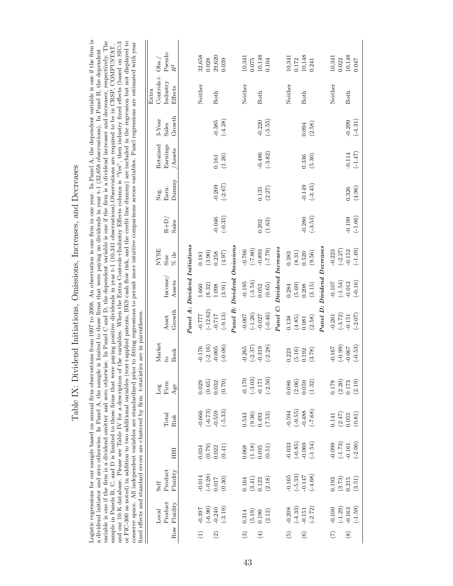|                                                                                                                                                                                                                                                                                                                                                                                                                                                                                                                                                                                                                                                                                                                                                                                                                                                                                                                                                                                                                                                                                                                                                                                                                                                                                       | Pseudo<br>Obs./<br>$\mathbb{R}^2$              |                                  | 32,658<br>0.028        | 29,620<br>0.039                                          |                       | 10,341<br>0.075       | 10,148<br>0.104                                  |                             | 10,341<br>0.172        | 10,148<br>0.241                                                   |                             | 10,341        | 10,148<br>0.022                                                   | 0.047     |
|---------------------------------------------------------------------------------------------------------------------------------------------------------------------------------------------------------------------------------------------------------------------------------------------------------------------------------------------------------------------------------------------------------------------------------------------------------------------------------------------------------------------------------------------------------------------------------------------------------------------------------------------------------------------------------------------------------------------------------------------------------------------------------------------------------------------------------------------------------------------------------------------------------------------------------------------------------------------------------------------------------------------------------------------------------------------------------------------------------------------------------------------------------------------------------------------------------------------------------------------------------------------------------------|------------------------------------------------|----------------------------------|------------------------|----------------------------------------------------------|-----------------------|-----------------------|--------------------------------------------------|-----------------------------|------------------------|-------------------------------------------------------------------|-----------------------------|---------------|-------------------------------------------------------------------|-----------|
| Logistic regressions for our sample based on annual firm observations from 1997 to 2008. An observation is one firm in one year. In Panel A, the dependent variable is one if the firm is<br>or FIC-300 as noted) in addition to two additional variables (text+applied patents, BKS cash flow risk, and the credit line dummy) are included in the regression but not displayed to<br>variable is one if the firm is a dividend omitter and zero otherwise. In Panel C and D, the dependent variable is one if the firm is a dividend increaser and decreaser, respectively. The<br>of the variables. When the Extra Controls+Industry Effects column is "Yes", then industry fixed effects (based on SIC-3<br>conserve space. All independent variables are standardized prior to fitting regressions to permit more intuitive comparisons across variables. Panel regressions are estimated with year<br>sample in Panels B, C, and D is limited to those firms that were paying positive dividends in year t-1 (10,341 observations). Observations are required to be in CRSP, COMPUSTAT,<br>a dividend initiator and zero otherwise. In Panel A, the sample is limited to those firms that were paying no dividends in year t-1 (32,658 observations). In Panel B, the dependent | $Controls+$<br>Industry<br>Effects<br>Extra    |                                  | Neither                | Both                                                     |                       | Neither               | Both                                             |                             | Neither                | Both                                                              |                             | Neither       | Both                                                              |           |
|                                                                                                                                                                                                                                                                                                                                                                                                                                                                                                                                                                                                                                                                                                                                                                                                                                                                                                                                                                                                                                                                                                                                                                                                                                                                                       | Growth<br>$3-Year$<br>Sales                    |                                  |                        | $(-4.28)$<br>$-0.385$                                    |                       |                       | $(-3.55)$<br>$-0.220$                            |                             |                        | (2.58)<br>0.094                                                   |                             |               | $-0.299$                                                          | $(-4.31)$ |
|                                                                                                                                                                                                                                                                                                                                                                                                                                                                                                                                                                                                                                                                                                                                                                                                                                                                                                                                                                                                                                                                                                                                                                                                                                                                                       | Retained<br>Earnings<br>Assets                 |                                  |                        | (1.26)<br>0.161                                          |                       |                       | $(-3.82)$<br>$-0.486$                            |                             |                        | (5.30)<br>0.336                                                   |                             |               | $-0.114$                                                          | $(-1.47)$ |
|                                                                                                                                                                                                                                                                                                                                                                                                                                                                                                                                                                                                                                                                                                                                                                                                                                                                                                                                                                                                                                                                                                                                                                                                                                                                                       | $\mathop{\rm Dummy}\nolimits$<br>Earn.<br>Neg. |                                  |                        | $(-2.67)$<br>$-0.269$                                    |                       |                       | 0.135<br>(2.27)                                  |                             |                        | $(-3.45)$<br>$-0.149$                                             |                             |               | 0.326                                                             | (4.96)    |
|                                                                                                                                                                                                                                                                                                                                                                                                                                                                                                                                                                                                                                                                                                                                                                                                                                                                                                                                                                                                                                                                                                                                                                                                                                                                                       | $R + D$<br>Sales                               |                                  |                        | $(-0.35)$<br>$-0.046$                                    |                       |                       | (1.63)<br>0.202                                  |                             |                        | $(-3.53)$<br>$-0.280$                                             |                             |               | $-0.199$                                                          | $(-1.66)$ |
|                                                                                                                                                                                                                                                                                                                                                                                                                                                                                                                                                                                                                                                                                                                                                                                                                                                                                                                                                                                                                                                                                                                                                                                                                                                                                       | <b>NYSE</b><br>$%$ ile<br>Size                 |                                  | (3.90)<br>0.181        | (4.97)<br>0.258                                          |                       | $-0.766$              | (0.87)<br>$(67.7-)$                              |                             | (8.31)<br>0.383        | (9.56)<br>0.520                                                   |                             | $-0.223$      | $(-2.27)$<br>$-0.152$                                             | $(-1.49)$ |
|                                                                                                                                                                                                                                                                                                                                                                                                                                                                                                                                                                                                                                                                                                                                                                                                                                                                                                                                                                                                                                                                                                                                                                                                                                                                                       | Income,<br>Assets                              | $P$ anel $A: Dividend\ Initions$ | (8.32)<br>1.660        | (3.91)<br>1.098                                          | $Dividend\ Omissions$ | $(-3.54)$<br>$-0.195$ | (0.65)<br>0.052                                  | Panel C: Dividend Increases | (5.69)<br>0.284        | (3.15)<br>0.208                                                   | Panel D: Dividend Decreases | $-0.107$      | $(-1.54)$<br>$-0.012$                                             | $(-0.16)$ |
|                                                                                                                                                                                                                                                                                                                                                                                                                                                                                                                                                                                                                                                                                                                                                                                                                                                                                                                                                                                                                                                                                                                                                                                                                                                                                       | Growth<br>Asset                                |                                  | $(-12.62)$<br>$-0.777$ | $(-9.13)$<br>$-0.717$                                    | Panel B:              | $(-1.26)$<br>$-0.067$ | $(-0.46)$<br>$-0.027$                            |                             | (4.85)<br>0.138        | (2.58)<br>0.081                                                   |                             | $-0.261$      | $(-3.72)$<br>$-0.151$                                             | $(-2.07)$ |
| fixed effects and standard errors are clustered by firm. t-statistics are in parentheses                                                                                                                                                                                                                                                                                                                                                                                                                                                                                                                                                                                                                                                                                                                                                                                                                                                                                                                                                                                                                                                                                                                                                                                              | Market<br><b>Book</b><br>$\overline{c}$        |                                  | $(-2.16)$<br>0.176     | $(-0.06)$<br>$-0.005$                                    |                       | $(-2.37)$<br>$-0.265$ | $-0.319$<br>$(-2.28)$                            |                             | (5.16)<br>0.223        | (3.78)<br>0.192                                                   |                             | $-0.167$      | $(-0.99)$<br>$-0.067$                                             | $(-0.53)$ |
|                                                                                                                                                                                                                                                                                                                                                                                                                                                                                                                                                                                                                                                                                                                                                                                                                                                                                                                                                                                                                                                                                                                                                                                                                                                                                       | Firm<br>Log<br>Age                             |                                  | 0.029                  | (0.70)<br>$\begin{array}{c} (0.65) \\ 0.032 \end{array}$ |                       | $(-3.03)$<br>$-0.170$ | $(-2.50)$<br>$-0.171$                            |                             |                        | $\begin{array}{c} 0.086 \\ (2.06) \\ 0.059 \\ (1.32) \end{array}$ |                             |               | $\begin{array}{c} 0.178 \\ (2.20) \\ 0.173 \\ (2.19) \end{array}$ |           |
| and our 10-K database. Please see Table IV for a description                                                                                                                                                                                                                                                                                                                                                                                                                                                                                                                                                                                                                                                                                                                                                                                                                                                                                                                                                                                                                                                                                                                                                                                                                          | Total<br>Risk                                  |                                  | $(-6.73)$<br>$-0.666$  | $(-5.33)$<br>$-0.559$                                    |                       | 0.543                 | $(9.36)$<br>0.493<br>(7.53)                      |                             | $-0.594$               | $(-9.55)$<br>-0.488<br>(58)                                       |                             | 0.141         | $(2.47)$<br>0.055                                                 | (0.81)    |
|                                                                                                                                                                                                                                                                                                                                                                                                                                                                                                                                                                                                                                                                                                                                                                                                                                                                                                                                                                                                                                                                                                                                                                                                                                                                                       | HHI                                            |                                  | 0.034                  | $(0.79)$<br>$0.022$<br>(0.41)                            |                       | $0.068\,$             | $(1.18)$<br>0.035<br>(0.51)                      |                             | $-0.033$               | $(-0.85)$<br>$-0.069$<br>$(-1.54)$                                |                             | $-0.099$      | $(-1.73)$<br>-0.161                                               | $(-2.00)$ |
|                                                                                                                                                                                                                                                                                                                                                                                                                                                                                                                                                                                                                                                                                                                                                                                                                                                                                                                                                                                                                                                                                                                                                                                                                                                                                       | Product<br>Fluidity<br>Self                    |                                  | $-0.014$               | $(-0.28)$<br>0.017<br>(0.30)                             |                       | 0.164                 | $\left(3.41\right)$ $\left(123\right)$<br>(2.18) |                             | $(-5.33)$<br>$-0.165$  | $(-4.68)$<br>$-0.147$                                             |                             | 0.193         | (3.73)<br>0.215                                                   | (3.51)    |
|                                                                                                                                                                                                                                                                                                                                                                                                                                                                                                                                                                                                                                                                                                                                                                                                                                                                                                                                                                                                                                                                                                                                                                                                                                                                                       | Product<br>Row Fluidity<br>Local               |                                  | $(-6.90)$<br>$-0.397$  | $(-3.19)$<br>$-0.240$                                    |                       | 0.314                 | (2.12)<br>$(5.19)$<br>0.190                      |                             | $(-4.33)$<br>$-0.208$  | $(-2.72)$<br>$-0.151$                                             |                             | $-0.100$      | $(-1.29)$<br>$-0.163$                                             | $(-1.59)$ |
|                                                                                                                                                                                                                                                                                                                                                                                                                                                                                                                                                                                                                                                                                                                                                                                                                                                                                                                                                                                                                                                                                                                                                                                                                                                                                       |                                                |                                  |                        | $\widehat{\mathfrak{D}}$                                 |                       | $\widehat{c}$         | $\bigoplus$                                      |                             | $\widehat{\mathbf{e}}$ | $\circledcirc$                                                    |                             | $\widehat{C}$ | $\circledast$                                                     |           |

Table IX: Dividend Initiations, Omissions, Increases, and Decreases Table IX: Dividend Initiations, Omissions, Increases, and Decreases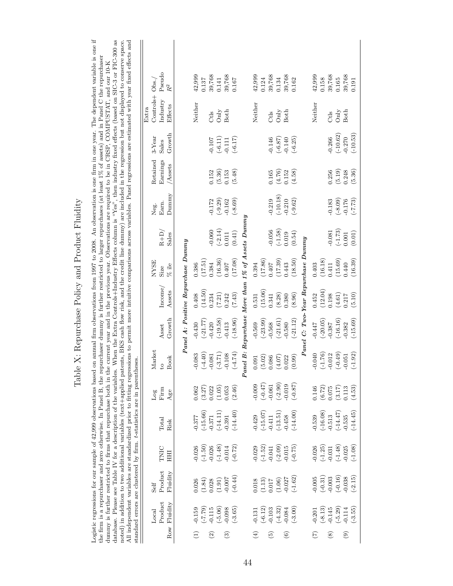|                                                                                                                                                                                                                                                                                                                                                                                                                                                                                                                                                                                                                                                                                                                                                                                                                                                                                                                                                                                                                                                                                                  | Pseudo<br>$R^2$                                       | 42,999<br>0.137        | 39,768<br>39,768<br>0.141                                         | 0.167                                                         | 42,999<br>39,768<br>0.124          | 39,768<br>0.134<br>0.162                                                   | 42,999<br>39,768<br>39,768<br>0.158<br>0.165<br>0.191                                             |
|--------------------------------------------------------------------------------------------------------------------------------------------------------------------------------------------------------------------------------------------------------------------------------------------------------------------------------------------------------------------------------------------------------------------------------------------------------------------------------------------------------------------------------------------------------------------------------------------------------------------------------------------------------------------------------------------------------------------------------------------------------------------------------------------------------------------------------------------------------------------------------------------------------------------------------------------------------------------------------------------------------------------------------------------------------------------------------------------------|-------------------------------------------------------|------------------------|-------------------------------------------------------------------|---------------------------------------------------------------|------------------------------------|----------------------------------------------------------------------------|---------------------------------------------------------------------------------------------------|
| on annual firm observations from 1997 to 2008. An observation is one firm in one year. The dependent variable is one if                                                                                                                                                                                                                                                                                                                                                                                                                                                                                                                                                                                                                                                                                                                                                                                                                                                                                                                                                                          | Controls+ Obs.,<br>Industry<br>Effects<br>Extra       | Neither                | Both<br>Only<br>$C$ tls                                           |                                                               | Neither<br>$C$ tls                 | $\rm{Only}$<br>Both                                                        | Neither<br>$\mathop{\mathrm{Only}}$<br>Both<br>Ctls                                               |
|                                                                                                                                                                                                                                                                                                                                                                                                                                                                                                                                                                                                                                                                                                                                                                                                                                                                                                                                                                                                                                                                                                  | Growth<br>$3-Year$<br>Sales                           |                        | $(-6.11)$<br>$-0.107$<br>$-0.111$                                 | $(-6.17)$                                                     | $-0.146$                           | $(-6.25)$<br>$(-6.87)$<br>$-0.140$                                         | $(-10.62)$<br>$(-10.53)$<br>$-0.270$<br>$-0.266$                                                  |
|                                                                                                                                                                                                                                                                                                                                                                                                                                                                                                                                                                                                                                                                                                                                                                                                                                                                                                                                                                                                                                                                                                  | Retained<br>Earnings<br>Assets                        |                        | 0.152<br>$(5.36)$<br>$0.153$                                      | (5.48)                                                        | 0.165                              | $(4.76)$<br>0.152<br>(4.58)                                                | (5.19)<br>0.248<br>(5.36)<br>0.256                                                                |
|                                                                                                                                                                                                                                                                                                                                                                                                                                                                                                                                                                                                                                                                                                                                                                                                                                                                                                                                                                                                                                                                                                  | Dunnny<br>Earn.<br>Neg.                               |                        | $(-9.29)$<br>$-0.162$<br>$-0.172$                                 | $(-8.69)$                                                     | $-0.219$                           | $(-10.18)$<br>$-0.210$<br>$(-9.62)$                                        | $(-8.09)$<br>$(-7.73)$<br>$-0.176$<br>$-0.183$                                                    |
|                                                                                                                                                                                                                                                                                                                                                                                                                                                                                                                                                                                                                                                                                                                                                                                                                                                                                                                                                                                                                                                                                                  | $R + D$<br>Sales                                      |                        | $(-2.14)$<br>$-0.060$<br>0.011                                    | (0.41)                                                        | $-0.056$                           | $(-1.58)$<br>0.019<br>(0.54)                                               | $\binom{-1.73}{0.001}$<br>$-0.081$<br>(0.01)                                                      |
|                                                                                                                                                                                                                                                                                                                                                                                                                                                                                                                                                                                                                                                                                                                                                                                                                                                                                                                                                                                                                                                                                                  | <b>NYSE</b><br>$\%$ ile<br>Size                       | (17.51)<br>0.386       | (16.36)<br>0.407<br>0.384                                         | (17.08)                                                       | (17.86)<br>0.394<br>$0.407$        | (18.50)<br>(17.39)<br>0.443                                                | (15.69)<br>(16.18)<br>(16.39)<br>0.440<br>0.411<br>0.403                                          |
|                                                                                                                                                                                                                                                                                                                                                                                                                                                                                                                                                                                                                                                                                                                                                                                                                                                                                                                                                                                                                                                                                                  | Income<br>Assets                                      | (14.50)<br>0.408       | (7.21)<br>0.234<br>0.242                                          | (7.43)                                                        | (15.06)<br>0.531<br>0.341          | (8.96)<br>(8.28)<br>0.380                                                  | (12.04)<br>(4.61)<br>(5.10)<br>0.452<br>0.198<br>0.217                                            |
|                                                                                                                                                                                                                                                                                                                                                                                                                                                                                                                                                                                                                                                                                                                                                                                                                                                                                                                                                                                                                                                                                                  | Panel A: Positive Repurchase Dummy<br>Growth<br>Asset | $(-21.77)$<br>$-0.430$ | $(-19.58)$<br>$-0.413$<br>$-0.420$                                | $(-18.96)$                                                    | $(-23.99)$<br>$-0.569$<br>$-0.568$ | Panel C: Two-Year Repurchase Dummy<br>$(-21.12)$<br>$(-21.61)$<br>$-0.580$ | $(-16.16)$<br>$(-15.69)$<br>$(-20.05)$<br>$-0.387$<br>$-0.382$<br>$-0.447$                        |
|                                                                                                                                                                                                                                                                                                                                                                                                                                                                                                                                                                                                                                                                                                                                                                                                                                                                                                                                                                                                                                                                                                  | Market<br><b>Book</b><br>$\overline{c}$               | $(-4.40)$<br>$-0.083$  | $(-3.71)$<br>$-0.108$<br>$-0.081$                                 | Panel B: Repurchase More than 1% of Assets Dummy<br>$(-4.74)$ | (5.02)<br>0.086<br>0.091           | (0.99)<br>(4.07)<br>0.022                                                  | $(-1.76)$<br>$(-0.49)$<br>$(-1.92)$<br>$-0.040$<br>$-0.012$<br>$-0.051$                           |
|                                                                                                                                                                                                                                                                                                                                                                                                                                                                                                                                                                                                                                                                                                                                                                                                                                                                                                                                                                                                                                                                                                  | Firm<br>Age<br>Log                                    | (3.27)<br>0.062        | $\begin{array}{c} (1.05) \\ 0.053 \\ (2.46) \end{array}$<br>0.022 |                                                               | (74.0)<br>$-0.009$                 | $(-2.90)$<br>$-0.019$<br>$(-0.87)$                                         | $\left( 6.72\right)$ $0.075$<br>$\begin{array}{c} (3.17) \\ 0.113 \end{array}$<br>(4.53)<br>0.146 |
|                                                                                                                                                                                                                                                                                                                                                                                                                                                                                                                                                                                                                                                                                                                                                                                                                                                                                                                                                                                                                                                                                                  | Total<br>Risk                                         | $-0.377$<br>$(-15.66)$ | $(-14.11)$<br>0.391<br>$-0.371$                                   | $(-14.40)$                                                    | $(-15.07)$<br>$-0.429$<br>$-0.411$ | $(-14.00)$<br>$(-13.51)$<br>$-0.458$                                       | $(-16.08)$<br>$(-14.47)$<br>$(-14.45)$<br>$-0.513$<br>0.539<br>$-0.535$                           |
|                                                                                                                                                                                                                                                                                                                                                                                                                                                                                                                                                                                                                                                                                                                                                                                                                                                                                                                                                                                                                                                                                                  | TNIC<br>HHI                                           | $(-1.50)$<br>$-0.026$  | $(-1.48)$<br>$-0.026$                                             | $-0.014$<br>$(-0.72)$                                         | $(-1.52)$<br>-0.041<br>$-0.029$    | $(-0.75)$<br>$(-2.09)$<br>-0.015                                           | $(-1.25)$<br>0.026<br>$(-1.48)$<br>$-0.025$<br>$(-1.08)$<br>$-0.031$                              |
| database. Please see Table IV for a description of the variables. When the Extra Controls+Industry Effects column is "Yes", then industry fixed effects (based on SIC-3 or FIC-300 as<br>All independent variables are standardized prior to fitting regressions to permit more intuitive comparisons across variables. Panel regressions are estimated with year fixed effects and<br>noted) in addition to two additional variables (text+applied patents, BKS cash flow risk, and the credit line dummy) are included in the regression but not displayed to conserve space.<br>the firm is a repurchaser and zero otherwise. In Panel B, the repurchaser dummy is further restricted to larger repurchases (at least 1% of assets) and in Panel C the repurchaser<br>dummy is further restricted to firms that repurchase both in the current year and in the previous year. Observations are required to be in CRSP, COMPUSTAT, and our 10-K<br>standard errors are clustered by firm. t-statistics are in parentheses.<br>Logistic regressions for our sample of 42,999 observations based | Product<br>Fluidity<br>Self                           | (1.84)<br>0.026        | (1.91)<br>0.028                                                   | $(-0.44)$                                                     | (1.13)<br>0.018<br>0.017           | $(-1.62)$<br>$-0.027$<br>(1.06)                                            | $(-0.31)$<br>$(-0.16)$<br>$-0.005$<br>$-0.038$<br>$(-2.15)$<br>$-0.003$                           |
|                                                                                                                                                                                                                                                                                                                                                                                                                                                                                                                                                                                                                                                                                                                                                                                                                                                                                                                                                                                                                                                                                                  | Product<br>Row Fluidity<br>Local                      | (62.7)<br>$-0.159$     | $(-5.06)$<br>$-0.115$<br>$-0.098$                                 | $(-3.65)$                                                     | $(-6.12)$<br>$-0.103$<br>$-0.131$  | $(-3.00)$<br>$(-4.32)$<br>$-0.084$                                         | $(-8.13)$<br>$(-5.29)$<br>$-0.145$<br>$-0.114$<br>$(-3.55)$<br>$-0.201$                           |
|                                                                                                                                                                                                                                                                                                                                                                                                                                                                                                                                                                                                                                                                                                                                                                                                                                                                                                                                                                                                                                                                                                  |                                                       |                        | ධි<br>$\widehat{\mathfrak{D}}$                                    |                                                               | စ                                  | ව                                                                          | $\odot$<br>$^{\circ}$                                                                             |

Table X: Repurchase Policy and Product Fluidity Table X: Repurchase Policy and Product Fluidity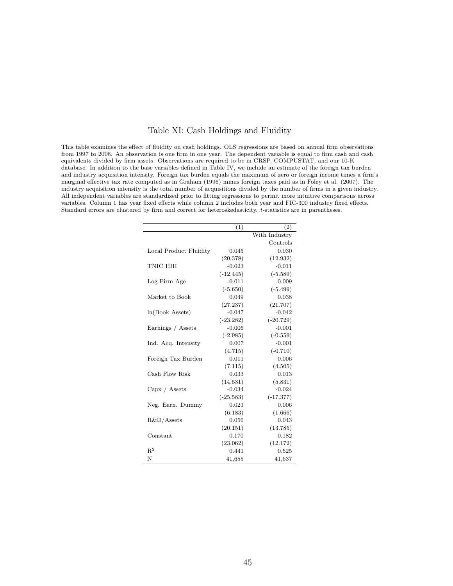### Table XI: Cash Holdings and Fluidity

This table examines the effect of fluidity on cash holdings. OLS regressions are based on annual firm observations from 1997 to 2008. An observation is one firm in one year. The dependent variable is equal to firm cash and cash equivalents divided by firm assets. Observations are required to be in CRSP, COMPUSTAT, and our 10-K database. In addition to the base variables defined in Table IV, we include an estimate of the foreign tax burden and industry acquisition intensity. Foreign tax burden equals the maximum of zero or foreign income times a firm's marginal effective tax rate computed as in Graham (1996) minus foreign taxes paid as in Foley et al. (2007). The industry acquisition intensity is the total number of acquisitions divided by the number of firms in a given industry. All independent variables are standardized prior to fitting regressions to permit more intuitive comparisons across variables. Column 1 has year fixed effects while column 2 includes both year and FIC-300 industry fixed effects. Standard errors are clustered by firm and correct for heteroskedasticity. t-statistics are in parentheses.

|                        | (1)         | (2)           |
|------------------------|-------------|---------------|
|                        |             | With Industry |
|                        |             | Controls      |
| Local Product Fluidity | 0.045       | 0.030         |
|                        | (20.378)    | (12.932)      |
| TNIC HHI               | $-0.023$    | $-0.011$      |
|                        | $(-12.445)$ | $(-5.589)$    |
| Log Firm Age           | $-0.011$    | $-0.009$      |
|                        | $(-5.650)$  | $(-5.499)$    |
| Market to Book         | 0.049       | 0.038         |
|                        | (27.237)    | (21.707)      |
| ln(Book Assets)        | $-0.047$    | $-0.042$      |
|                        | $(-23.282)$ | $(-20.729)$   |
| Earnings / Assets      | $-0.006$    | $-0.001$      |
|                        | $(-2.985)$  | $(-0.559)$    |
| Ind. Acq. Intensity    | 0.007       | $-0.001$      |
|                        | (4.715)     | $(-0.710)$    |
| Foreign Tax Burden     | 0.011       | 0.006         |
|                        | (7.115)     | (4.505)       |
| Cash Flow Risk         | 0.033       | 0.013         |
|                        | (14.531)    | (5.831)       |
| Capx / Assets          | $-0.034$    | $-0.024$      |
|                        | $(-25.583)$ | $(-17.377)$   |
| Neg. Earn. Dummy       | 0.023       | 0.006         |
|                        | (6.183)     | (1.666)       |
| $R&D/A$ ssets          | 0.056       | 0.043         |
|                        | (20.151)    | (13.785)      |
| Constant               | 0.170       | 0.182         |
|                        | (23.062)    | (12.172)      |
| $R^2$                  | 0.441       | 0.525         |
| N                      | 41,655      | 41,637        |